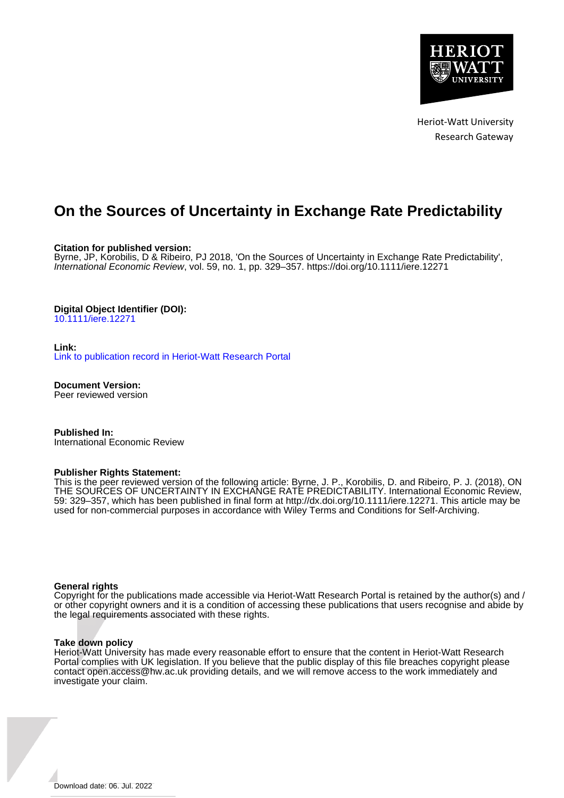

Heriot-Watt University Research Gateway

# **On the Sources of Uncertainty in Exchange Rate Predictability**

**Citation for published version:**

Byrne, JP, Korobilis, D & Ribeiro, PJ 2018, 'On the Sources of Uncertainty in Exchange Rate Predictability', International Economic Review, vol. 59, no. 1, pp. 329–357. <https://doi.org/10.1111/iere.12271>

**Digital Object Identifier (DOI):**

[10.1111/iere.12271](https://doi.org/10.1111/iere.12271)

**Link:**

[Link to publication record in Heriot-Watt Research Portal](https://researchportal.hw.ac.uk/en/publications/55c678d5-e4da-4df7-a72c-518b873235dd)

**Document Version:** Peer reviewed version

**Published In:** International Economic Review

#### **Publisher Rights Statement:**

This is the peer reviewed version of the following article: Byrne, J. P., Korobilis, D. and Ribeiro, P. J. (2018), ON THE SOURCES OF UNCERTAINTY IN EXCHANGE RATE PREDICTABILITY. International Economic Review, 59: 329–357, which has been published in final form at http://dx.doi.org/10.1111/iere.12271. This article may be used for non-commercial purposes in accordance with Wiley Terms and Conditions for Self-Archiving.

#### **General rights**

Copyright for the publications made accessible via Heriot-Watt Research Portal is retained by the author(s) and / or other copyright owners and it is a condition of accessing these publications that users recognise and abide by the legal requirements associated with these rights.

#### **Take down policy**

Heriot-Watt University has made every reasonable effort to ensure that the content in Heriot-Watt Research Portal complies with UK legislation. If you believe that the public display of this file breaches copyright please contact open.access@hw.ac.uk providing details, and we will remove access to the work immediately and investigate your claim.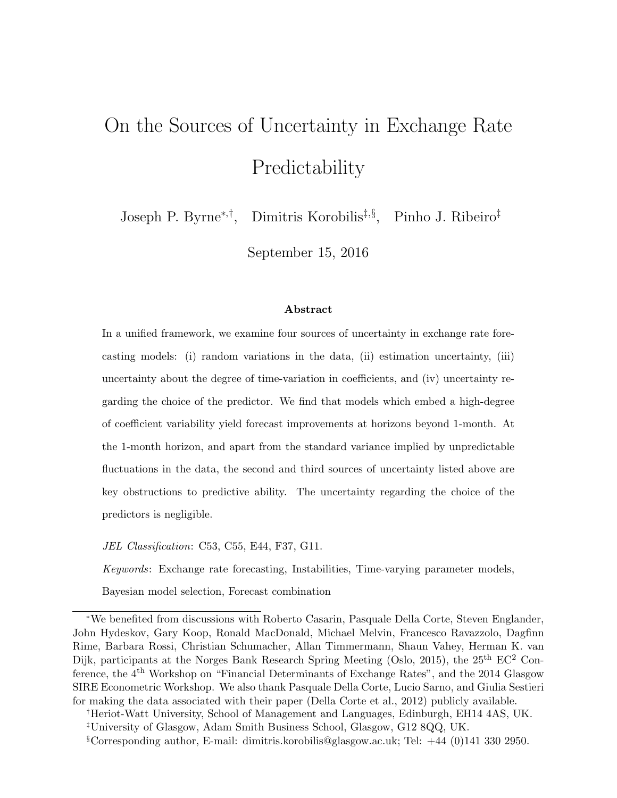# On the Sources of Uncertainty in Exchange Rate Predictability

Joseph P. Byrne<sup>∗</sup>,† , Dimitris Korobilis‡,§ , Pinho J. Ribeiro‡

September 15, 2016

#### Abstract

In a unified framework, we examine four sources of uncertainty in exchange rate forecasting models: (i) random variations in the data, (ii) estimation uncertainty, (iii) uncertainty about the degree of time-variation in coefficients, and (iv) uncertainty regarding the choice of the predictor. We find that models which embed a high-degree of coefficient variability yield forecast improvements at horizons beyond 1-month. At the 1-month horizon, and apart from the standard variance implied by unpredictable fluctuations in the data, the second and third sources of uncertainty listed above are key obstructions to predictive ability. The uncertainty regarding the choice of the predictors is negligible.

JEL Classification: C53, C55, E44, F37, G11.

Keywords: Exchange rate forecasting, Instabilities, Time-varying parameter models,

Bayesian model selection, Forecast combination

<sup>∗</sup>We benefited from discussions with Roberto Casarin, Pasquale Della Corte, Steven Englander, John Hydeskov, Gary Koop, Ronald MacDonald, Michael Melvin, Francesco Ravazzolo, Dagfinn Rime, Barbara Rossi, Christian Schumacher, Allan Timmermann, Shaun Vahey, Herman K. van Dijk, participants at the Norges Bank Research Spring Meeting (Oslo, 2015), the 25<sup>th</sup> EC<sup>2</sup> Conference, the 4<sup>th</sup> Workshop on "Financial Determinants of Exchange Rates", and the 2014 Glasgow SIRE Econometric Workshop. We also thank Pasquale Della Corte, Lucio Sarno, and Giulia Sestieri for making the data associated with their paper (Della Corte et al., 2012) publicly available.

<sup>†</sup>Heriot-Watt University, School of Management and Languages, Edinburgh, EH14 4AS, UK. ‡University of Glasgow, Adam Smith Business School, Glasgow, G12 8QQ, UK.

<sup>§</sup>Corresponding author, E-mail: dimitris.korobilis@glasgow.ac.uk; Tel: +44 (0)141 330 2950.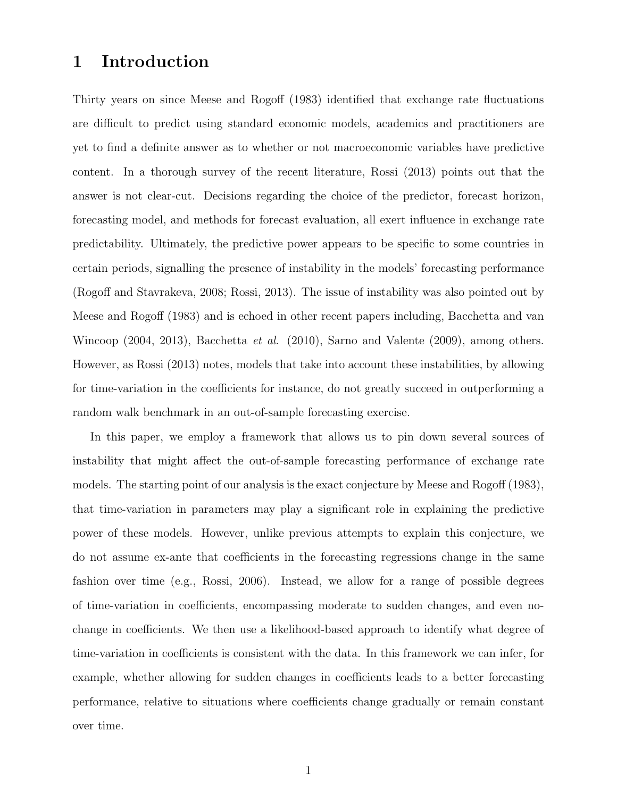# 1 Introduction

Thirty years on since Meese and Rogoff (1983) identified that exchange rate fluctuations are difficult to predict using standard economic models, academics and practitioners are yet to find a definite answer as to whether or not macroeconomic variables have predictive content. In a thorough survey of the recent literature, Rossi (2013) points out that the answer is not clear-cut. Decisions regarding the choice of the predictor, forecast horizon, forecasting model, and methods for forecast evaluation, all exert influence in exchange rate predictability. Ultimately, the predictive power appears to be specific to some countries in certain periods, signalling the presence of instability in the models' forecasting performance (Rogoff and Stavrakeva, 2008; Rossi, 2013). The issue of instability was also pointed out by Meese and Rogoff (1983) and is echoed in other recent papers including, Bacchetta and van Wincoop  $(2004, 2013)$ , Bacchetta *et al.*  $(2010)$ , Sarno and Valente  $(2009)$ , among others. However, as Rossi (2013) notes, models that take into account these instabilities, by allowing for time-variation in the coefficients for instance, do not greatly succeed in outperforming a random walk benchmark in an out-of-sample forecasting exercise.

In this paper, we employ a framework that allows us to pin down several sources of instability that might affect the out-of-sample forecasting performance of exchange rate models. The starting point of our analysis is the exact conjecture by Meese and Rogoff (1983), that time-variation in parameters may play a significant role in explaining the predictive power of these models. However, unlike previous attempts to explain this conjecture, we do not assume ex-ante that coefficients in the forecasting regressions change in the same fashion over time (e.g., Rossi, 2006). Instead, we allow for a range of possible degrees of time-variation in coefficients, encompassing moderate to sudden changes, and even nochange in coefficients. We then use a likelihood-based approach to identify what degree of time-variation in coefficients is consistent with the data. In this framework we can infer, for example, whether allowing for sudden changes in coefficients leads to a better forecasting performance, relative to situations where coefficients change gradually or remain constant over time.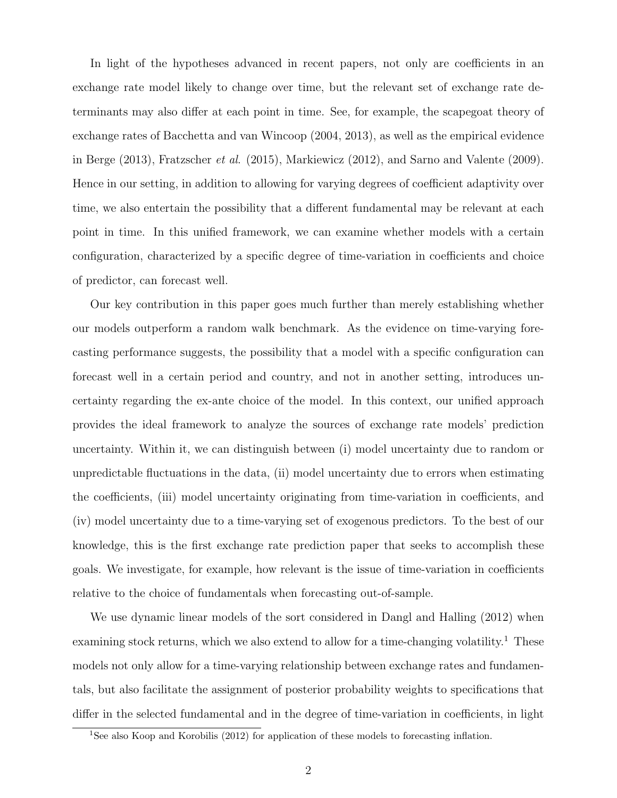In light of the hypotheses advanced in recent papers, not only are coefficients in an exchange rate model likely to change over time, but the relevant set of exchange rate determinants may also differ at each point in time. See, for example, the scapegoat theory of exchange rates of Bacchetta and van Wincoop (2004, 2013), as well as the empirical evidence in Berge (2013), Fratzscher et al. (2015), Markiewicz (2012), and Sarno and Valente (2009). Hence in our setting, in addition to allowing for varying degrees of coefficient adaptivity over time, we also entertain the possibility that a different fundamental may be relevant at each point in time. In this unified framework, we can examine whether models with a certain configuration, characterized by a specific degree of time-variation in coefficients and choice of predictor, can forecast well.

Our key contribution in this paper goes much further than merely establishing whether our models outperform a random walk benchmark. As the evidence on time-varying forecasting performance suggests, the possibility that a model with a specific configuration can forecast well in a certain period and country, and not in another setting, introduces uncertainty regarding the ex-ante choice of the model. In this context, our unified approach provides the ideal framework to analyze the sources of exchange rate models' prediction uncertainty. Within it, we can distinguish between (i) model uncertainty due to random or unpredictable fluctuations in the data, (ii) model uncertainty due to errors when estimating the coefficients, (iii) model uncertainty originating from time-variation in coefficients, and (iv) model uncertainty due to a time-varying set of exogenous predictors. To the best of our knowledge, this is the first exchange rate prediction paper that seeks to accomplish these goals. We investigate, for example, how relevant is the issue of time-variation in coefficients relative to the choice of fundamentals when forecasting out-of-sample.

We use dynamic linear models of the sort considered in Dangl and Halling (2012) when examining stock returns, which we also extend to allow for a time-changing volatility.<sup>1</sup> These models not only allow for a time-varying relationship between exchange rates and fundamentals, but also facilitate the assignment of posterior probability weights to specifications that differ in the selected fundamental and in the degree of time-variation in coefficients, in light

<sup>&</sup>lt;sup>1</sup>See also Koop and Korobilis (2012) for application of these models to forecasting inflation.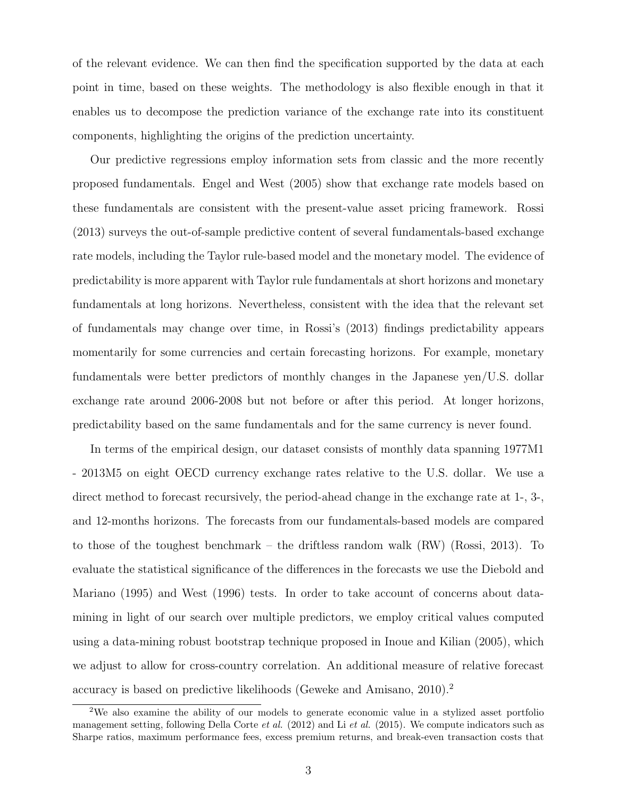of the relevant evidence. We can then find the specification supported by the data at each point in time, based on these weights. The methodology is also flexible enough in that it enables us to decompose the prediction variance of the exchange rate into its constituent components, highlighting the origins of the prediction uncertainty.

Our predictive regressions employ information sets from classic and the more recently proposed fundamentals. Engel and West (2005) show that exchange rate models based on these fundamentals are consistent with the present-value asset pricing framework. Rossi (2013) surveys the out-of-sample predictive content of several fundamentals-based exchange rate models, including the Taylor rule-based model and the monetary model. The evidence of predictability is more apparent with Taylor rule fundamentals at short horizons and monetary fundamentals at long horizons. Nevertheless, consistent with the idea that the relevant set of fundamentals may change over time, in Rossi's (2013) findings predictability appears momentarily for some currencies and certain forecasting horizons. For example, monetary fundamentals were better predictors of monthly changes in the Japanese yen/U.S. dollar exchange rate around 2006-2008 but not before or after this period. At longer horizons, predictability based on the same fundamentals and for the same currency is never found.

In terms of the empirical design, our dataset consists of monthly data spanning 1977M1 - 2013M5 on eight OECD currency exchange rates relative to the U.S. dollar. We use a direct method to forecast recursively, the period-ahead change in the exchange rate at 1-, 3-, and 12-months horizons. The forecasts from our fundamentals-based models are compared to those of the toughest benchmark – the driftless random walk (RW) (Rossi, 2013). To evaluate the statistical significance of the differences in the forecasts we use the Diebold and Mariano (1995) and West (1996) tests. In order to take account of concerns about datamining in light of our search over multiple predictors, we employ critical values computed using a data-mining robust bootstrap technique proposed in Inoue and Kilian (2005), which we adjust to allow for cross-country correlation. An additional measure of relative forecast accuracy is based on predictive likelihoods (Geweke and Amisano, 2010).<sup>2</sup>

<sup>2</sup>We also examine the ability of our models to generate economic value in a stylized asset portfolio management setting, following Della Corte *et al.* (2012) and Li *et al.* (2015). We compute indicators such as Sharpe ratios, maximum performance fees, excess premium returns, and break-even transaction costs that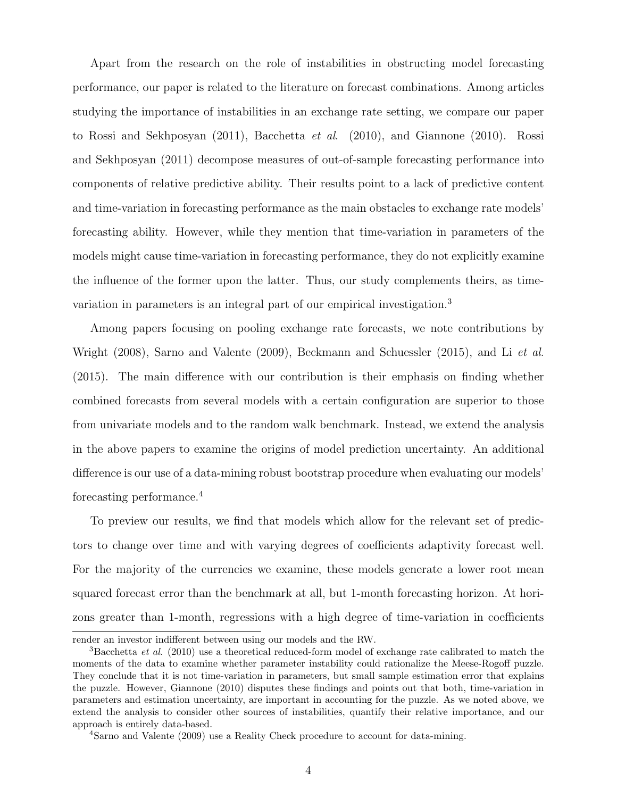Apart from the research on the role of instabilities in obstructing model forecasting performance, our paper is related to the literature on forecast combinations. Among articles studying the importance of instabilities in an exchange rate setting, we compare our paper to Rossi and Sekhposyan (2011), Bacchetta et al. (2010), and Giannone (2010). Rossi and Sekhposyan (2011) decompose measures of out-of-sample forecasting performance into components of relative predictive ability. Their results point to a lack of predictive content and time-variation in forecasting performance as the main obstacles to exchange rate models' forecasting ability. However, while they mention that time-variation in parameters of the models might cause time-variation in forecasting performance, they do not explicitly examine the influence of the former upon the latter. Thus, our study complements theirs, as timevariation in parameters is an integral part of our empirical investigation.<sup>3</sup>

Among papers focusing on pooling exchange rate forecasts, we note contributions by Wright (2008), Sarno and Valente (2009), Beckmann and Schuessler (2015), and Li et al. (2015). The main difference with our contribution is their emphasis on finding whether combined forecasts from several models with a certain configuration are superior to those from univariate models and to the random walk benchmark. Instead, we extend the analysis in the above papers to examine the origins of model prediction uncertainty. An additional difference is our use of a data-mining robust bootstrap procedure when evaluating our models' forecasting performance.<sup>4</sup>

To preview our results, we find that models which allow for the relevant set of predictors to change over time and with varying degrees of coefficients adaptivity forecast well. For the majority of the currencies we examine, these models generate a lower root mean squared forecast error than the benchmark at all, but 1-month forecasting horizon. At horizons greater than 1-month, regressions with a high degree of time-variation in coefficients

render an investor indifferent between using our models and the RW.

<sup>&</sup>lt;sup>3</sup>Bacchetta *et al.* (2010) use a theoretical reduced-form model of exchange rate calibrated to match the moments of the data to examine whether parameter instability could rationalize the Meese-Rogoff puzzle. They conclude that it is not time-variation in parameters, but small sample estimation error that explains the puzzle. However, Giannone (2010) disputes these findings and points out that both, time-variation in parameters and estimation uncertainty, are important in accounting for the puzzle. As we noted above, we extend the analysis to consider other sources of instabilities, quantify their relative importance, and our approach is entirely data-based.

<sup>4</sup>Sarno and Valente (2009) use a Reality Check procedure to account for data-mining.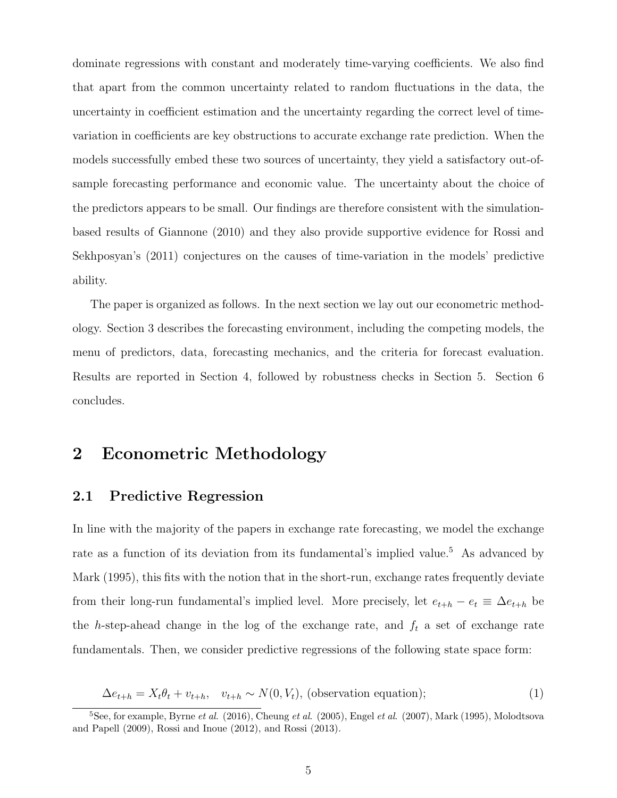dominate regressions with constant and moderately time-varying coefficients. We also find that apart from the common uncertainty related to random fluctuations in the data, the uncertainty in coefficient estimation and the uncertainty regarding the correct level of timevariation in coefficients are key obstructions to accurate exchange rate prediction. When the models successfully embed these two sources of uncertainty, they yield a satisfactory out-ofsample forecasting performance and economic value. The uncertainty about the choice of the predictors appears to be small. Our findings are therefore consistent with the simulationbased results of Giannone (2010) and they also provide supportive evidence for Rossi and Sekhposyan's (2011) conjectures on the causes of time-variation in the models' predictive ability.

The paper is organized as follows. In the next section we lay out our econometric methodology. Section 3 describes the forecasting environment, including the competing models, the menu of predictors, data, forecasting mechanics, and the criteria for forecast evaluation. Results are reported in Section 4, followed by robustness checks in Section 5. Section 6 concludes.

# 2 Econometric Methodology

## 2.1 Predictive Regression

In line with the majority of the papers in exchange rate forecasting, we model the exchange rate as a function of its deviation from its fundamental's implied value.<sup>5</sup> As advanced by Mark (1995), this fits with the notion that in the short-run, exchange rates frequently deviate from their long-run fundamental's implied level. More precisely, let  $e_{t+h} - e_t \equiv \Delta e_{t+h}$  be the h-step-ahead change in the log of the exchange rate, and  $f_t$  a set of exchange rate fundamentals. Then, we consider predictive regressions of the following state space form:

$$
\Delta e_{t+h} = X_t \theta_t + v_{t+h}, \quad v_{t+h} \sim N(0, V_t), \text{ (observation equation)};
$$
\n<sup>(1)</sup>

<sup>&</sup>lt;sup>5</sup>See, for example, Byrne *et al.* (2016), Cheung *et al.* (2005), Engel *et al.* (2007), Mark (1995), Molodtsova and Papell (2009), Rossi and Inoue (2012), and Rossi (2013).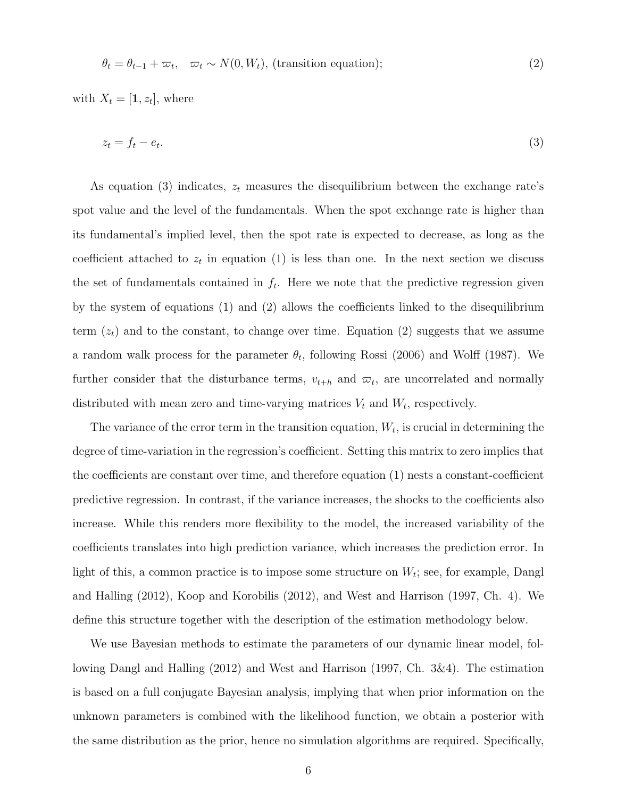$$
\theta_t = \theta_{t-1} + \varpi_t, \quad \varpi_t \sim N(0, W_t), \text{ (transition equation)};
$$
\n<sup>(2)</sup>

with  $X_t = [1, z_t]$ , where

$$
z_t = f_t - e_t. \tag{3}
$$

As equation (3) indicates,  $z_t$  measures the disequilibrium between the exchange rate's spot value and the level of the fundamentals. When the spot exchange rate is higher than its fundamental's implied level, then the spot rate is expected to decrease, as long as the coefficient attached to  $z_t$  in equation (1) is less than one. In the next section we discuss the set of fundamentals contained in  $f_t$ . Here we note that the predictive regression given by the system of equations (1) and (2) allows the coefficients linked to the disequilibrium term  $(z_t)$  and to the constant, to change over time. Equation (2) suggests that we assume a random walk process for the parameter  $\theta_t$ , following Rossi (2006) and Wolff (1987). We further consider that the disturbance terms,  $v_{t+h}$  and  $\overline{\omega}_t$ , are uncorrelated and normally distributed with mean zero and time-varying matrices  $V_t$  and  $W_t$ , respectively.

The variance of the error term in the transition equation,  $W_t$ , is crucial in determining the degree of time-variation in the regression's coefficient. Setting this matrix to zero implies that the coefficients are constant over time, and therefore equation (1) nests a constant-coefficient predictive regression. In contrast, if the variance increases, the shocks to the coefficients also increase. While this renders more flexibility to the model, the increased variability of the coefficients translates into high prediction variance, which increases the prediction error. In light of this, a common practice is to impose some structure on  $W_t$ ; see, for example, Dangl and Halling (2012), Koop and Korobilis (2012), and West and Harrison (1997, Ch. 4). We define this structure together with the description of the estimation methodology below.

We use Bayesian methods to estimate the parameters of our dynamic linear model, following Dangl and Halling (2012) and West and Harrison (1997, Ch. 3&4). The estimation is based on a full conjugate Bayesian analysis, implying that when prior information on the unknown parameters is combined with the likelihood function, we obtain a posterior with the same distribution as the prior, hence no simulation algorithms are required. Specifically,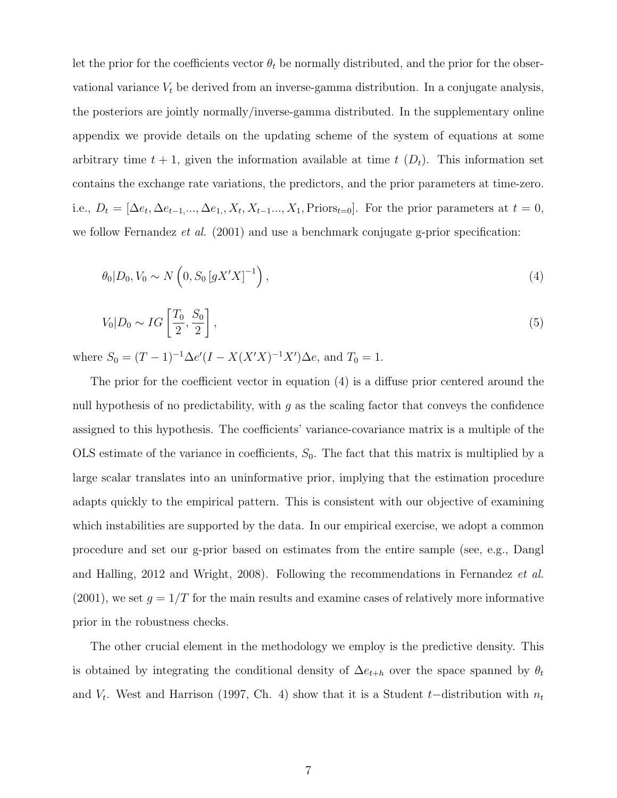let the prior for the coefficients vector  $\theta_t$  be normally distributed, and the prior for the observational variance  $V_t$  be derived from an inverse-gamma distribution. In a conjugate analysis, the posteriors are jointly normally/inverse-gamma distributed. In the supplementary online appendix we provide details on the updating scheme of the system of equations at some arbitrary time  $t + 1$ , given the information available at time  $t (D_t)$ . This information set contains the exchange rate variations, the predictors, and the prior parameters at time-zero. i.e.,  $D_t = [\Delta e_t, \Delta e_{t-1}, ..., \Delta e_1, X_t, X_{t-1}..., X_1, \text{Priors}_{t=0}]$ . For the prior parameters at  $t = 0$ , we follow Fernandez *et al.* (2001) and use a benchmark conjugate g-prior specification:

$$
\theta_0 | D_0, V_0 \sim N\left(0, S_0 \left[ g X' X \right]^{-1} \right), \tag{4}
$$

$$
V_0|D_0 \sim IG\left[\frac{T_0}{2}, \frac{S_0}{2}\right],\tag{5}
$$

where  $S_0 = (T - 1)^{-1} \Delta e'(I - X(X'X)^{-1}X') \Delta e$ , and  $T_0 = 1$ .

The prior for the coefficient vector in equation (4) is a diffuse prior centered around the null hypothesis of no predictability, with  $q$  as the scaling factor that conveys the confidence assigned to this hypothesis. The coefficients' variance-covariance matrix is a multiple of the OLS estimate of the variance in coefficients,  $S_0$ . The fact that this matrix is multiplied by a large scalar translates into an uninformative prior, implying that the estimation procedure adapts quickly to the empirical pattern. This is consistent with our objective of examining which instabilities are supported by the data. In our empirical exercise, we adopt a common procedure and set our g-prior based on estimates from the entire sample (see, e.g., Dangl and Halling, 2012 and Wright, 2008). Following the recommendations in Fernandez et al. (2001), we set  $g = 1/T$  for the main results and examine cases of relatively more informative prior in the robustness checks.

The other crucial element in the methodology we employ is the predictive density. This is obtained by integrating the conditional density of  $\Delta e_{t+h}$  over the space spanned by  $\theta_t$ and  $V_t$ . West and Harrison (1997, Ch. 4) show that it is a Student t–distribution with  $n_t$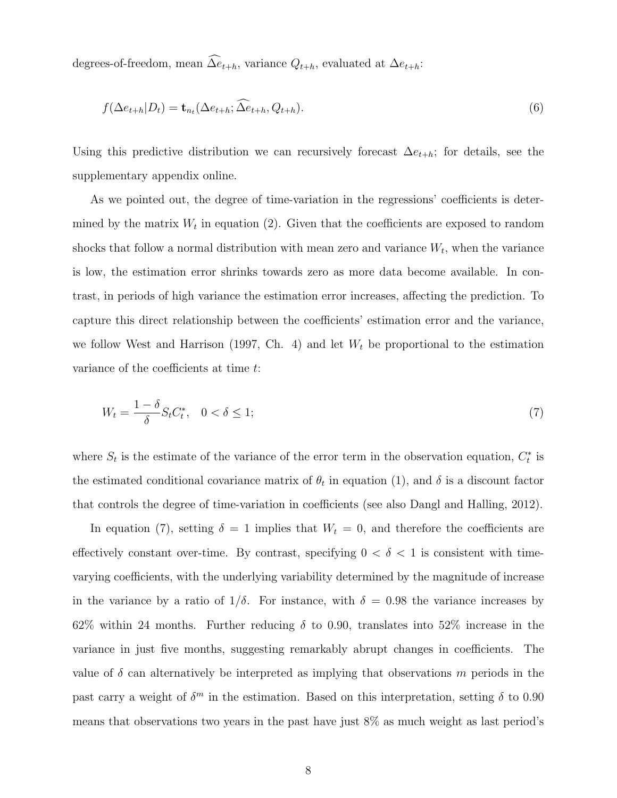degrees-of-freedom, mean  $\widehat{\Delta e}_{t+h}$ , variance  $Q_{t+h}$ , evaluated at  $\Delta e_{t+h}$ :

$$
f(\Delta e_{t+h}|D_t) = \mathbf{t}_{n_t}(\Delta e_{t+h}; \widehat{\Delta e}_{t+h}, Q_{t+h}).
$$
\n(6)

Using this predictive distribution we can recursively forecast  $\Delta e_{t+h}$ ; for details, see the supplementary appendix online.

As we pointed out, the degree of time-variation in the regressions' coefficients is determined by the matrix  $W_t$  in equation (2). Given that the coefficients are exposed to random shocks that follow a normal distribution with mean zero and variance  $W_t$ , when the variance is low, the estimation error shrinks towards zero as more data become available. In contrast, in periods of high variance the estimation error increases, affecting the prediction. To capture this direct relationship between the coefficients' estimation error and the variance, we follow West and Harrison (1997, Ch. 4) and let  $W_t$  be proportional to the estimation variance of the coefficients at time t:

$$
W_t = \frac{1 - \delta}{\delta} S_t C_t^*, \quad 0 < \delta \le 1; \tag{7}
$$

where  $S_t$  is the estimate of the variance of the error term in the observation equation,  $C_t^*$  is the estimated conditional covariance matrix of  $\theta_t$  in equation (1), and  $\delta$  is a discount factor that controls the degree of time-variation in coefficients (see also Dangl and Halling, 2012).

In equation (7), setting  $\delta = 1$  implies that  $W_t = 0$ , and therefore the coefficients are effectively constant over-time. By contrast, specifying  $0 < \delta < 1$  is consistent with timevarying coefficients, with the underlying variability determined by the magnitude of increase in the variance by a ratio of  $1/\delta$ . For instance, with  $\delta = 0.98$  the variance increases by 62% within 24 months. Further reducing  $\delta$  to 0.90, translates into 52% increase in the variance in just five months, suggesting remarkably abrupt changes in coefficients. The value of  $\delta$  can alternatively be interpreted as implying that observations m periods in the past carry a weight of  $\delta^m$  in the estimation. Based on this interpretation, setting  $\delta$  to 0.90 means that observations two years in the past have just 8% as much weight as last period's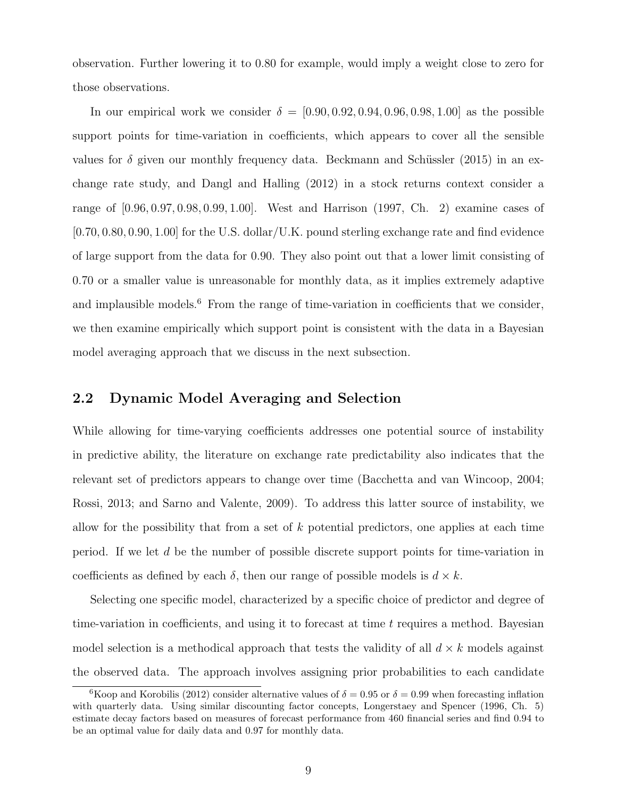observation. Further lowering it to 0.80 for example, would imply a weight close to zero for those observations.

In our empirical work we consider  $\delta = [0.90, 0.92, 0.94, 0.96, 0.98, 1.00]$  as the possible support points for time-variation in coefficients, which appears to cover all the sensible values for  $\delta$  given our monthly frequency data. Beckmann and Schüssler (2015) in an exchange rate study, and Dangl and Halling (2012) in a stock returns context consider a range of [0.96, 0.97, 0.98, 0.99, 1.00]. West and Harrison (1997, Ch. 2) examine cases of [0.70, 0.80, 0.90, 1.00] for the U.S. dollar/U.K. pound sterling exchange rate and find evidence of large support from the data for 0.90. They also point out that a lower limit consisting of 0.70 or a smaller value is unreasonable for monthly data, as it implies extremely adaptive and implausible models.<sup>6</sup> From the range of time-variation in coefficients that we consider, we then examine empirically which support point is consistent with the data in a Bayesian model averaging approach that we discuss in the next subsection.

## 2.2 Dynamic Model Averaging and Selection

While allowing for time-varying coefficients addresses one potential source of instability in predictive ability, the literature on exchange rate predictability also indicates that the relevant set of predictors appears to change over time (Bacchetta and van Wincoop, 2004; Rossi, 2013; and Sarno and Valente, 2009). To address this latter source of instability, we allow for the possibility that from a set of k potential predictors, one applies at each time period. If we let d be the number of possible discrete support points for time-variation in coefficients as defined by each  $\delta$ , then our range of possible models is  $d \times k$ .

Selecting one specific model, characterized by a specific choice of predictor and degree of time-variation in coefficients, and using it to forecast at time  $t$  requires a method. Bayesian model selection is a methodical approach that tests the validity of all  $d \times k$  models against the observed data. The approach involves assigning prior probabilities to each candidate

<sup>&</sup>lt;sup>6</sup>Koop and Korobilis (2012) consider alternative values of  $\delta = 0.95$  or  $\delta = 0.99$  when forecasting inflation with quarterly data. Using similar discounting factor concepts, Longerstaey and Spencer (1996, Ch. 5) estimate decay factors based on measures of forecast performance from 460 financial series and find 0.94 to be an optimal value for daily data and 0.97 for monthly data.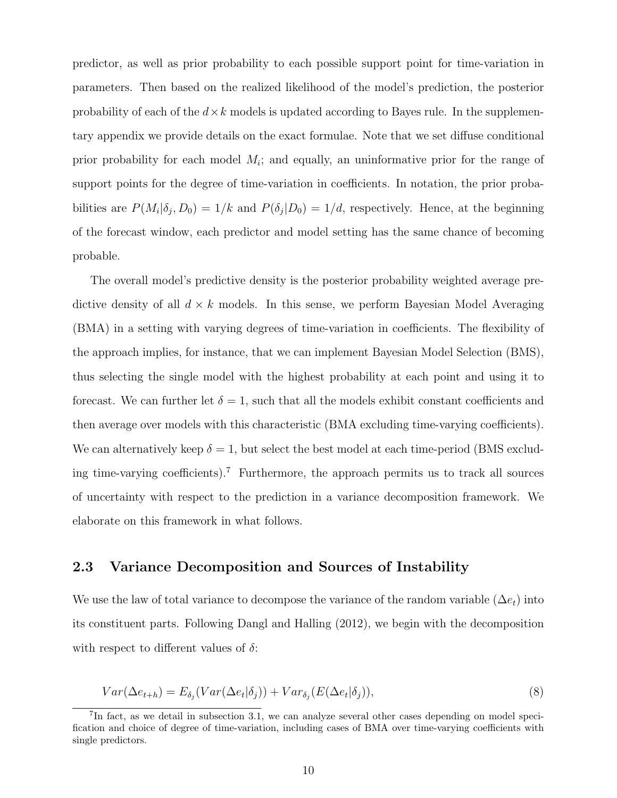predictor, as well as prior probability to each possible support point for time-variation in parameters. Then based on the realized likelihood of the model's prediction, the posterior probability of each of the  $d \times k$  models is updated according to Bayes rule. In the supplementary appendix we provide details on the exact formulae. Note that we set diffuse conditional prior probability for each model  $M_i$ ; and equally, an uninformative prior for the range of support points for the degree of time-variation in coefficients. In notation, the prior probabilities are  $P(M_i|\delta_j, D_0) = 1/k$  and  $P(\delta_j|D_0) = 1/d$ , respectively. Hence, at the beginning of the forecast window, each predictor and model setting has the same chance of becoming probable.

The overall model's predictive density is the posterior probability weighted average predictive density of all  $d \times k$  models. In this sense, we perform Bayesian Model Averaging (BMA) in a setting with varying degrees of time-variation in coefficients. The flexibility of the approach implies, for instance, that we can implement Bayesian Model Selection (BMS), thus selecting the single model with the highest probability at each point and using it to forecast. We can further let  $\delta = 1$ , such that all the models exhibit constant coefficients and then average over models with this characteristic (BMA excluding time-varying coefficients). We can alternatively keep  $\delta = 1$ , but select the best model at each time-period (BMS excluding time-varying coefficients).<sup>7</sup> Furthermore, the approach permits us to track all sources of uncertainty with respect to the prediction in a variance decomposition framework. We elaborate on this framework in what follows.

#### 2.3 Variance Decomposition and Sources of Instability

We use the law of total variance to decompose the variance of the random variable  $(\Delta e_t)$  into its constituent parts. Following Dangl and Halling (2012), we begin with the decomposition with respect to different values of  $\delta$ :

$$
Var(\Delta e_{t+h}) = E_{\delta_j}(Var(\Delta e_t|\delta_j)) + Var_{\delta_j}(E(\Delta e_t|\delta_j)),
$$
\n(8)

<sup>&</sup>lt;sup>7</sup>In fact, as we detail in subsection 3.1, we can analyze several other cases depending on model specification and choice of degree of time-variation, including cases of BMA over time-varying coefficients with single predictors.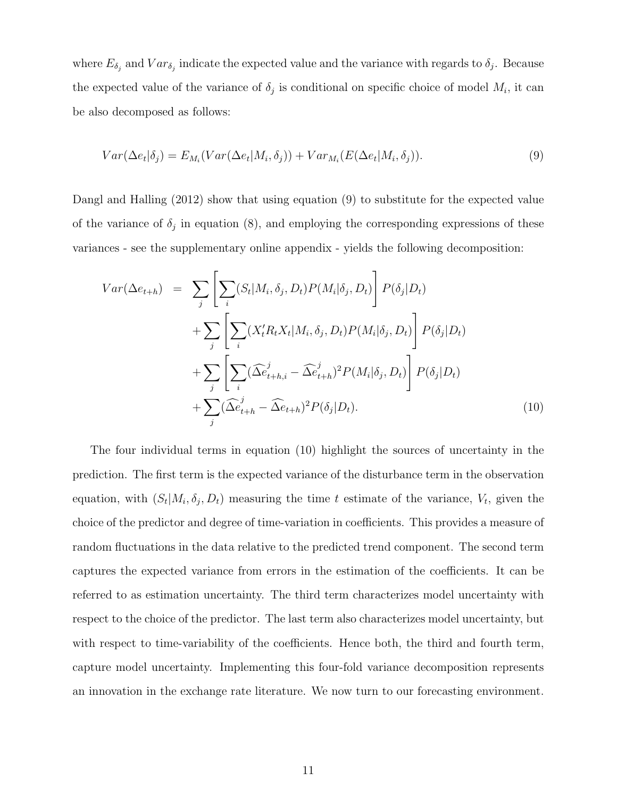where  $E_{\delta_j}$  and  $Var_{\delta_j}$  indicate the expected value and the variance with regards to  $\delta_j$ . Because the expected value of the variance of  $\delta_j$  is conditional on specific choice of model  $M_i$ , it can be also decomposed as follows:

$$
Var(\Delta e_t | \delta_j) = E_{M_i}(Var(\Delta e_t | M_i, \delta_j)) + Var_{M_i}(E(\Delta e_t | M_i, \delta_j)).
$$
\n(9)

Dangl and Halling (2012) show that using equation (9) to substitute for the expected value of the variance of  $\delta_j$  in equation (8), and employing the corresponding expressions of these variances - see the supplementary online appendix - yields the following decomposition:

$$
Var(\Delta e_{t+h}) = \sum_{j} \left[ \sum_{i} (S_t | M_i, \delta_j, D_t) P(M_i | \delta_j, D_t) \right] P(\delta_j | D_t)
$$
  
+ 
$$
\sum_{j} \left[ \sum_{i} (X_t' R_t X_t | M_i, \delta_j, D_t) P(M_i | \delta_j, D_t) \right] P(\delta_j | D_t)
$$
  
+ 
$$
\sum_{j} \left[ \sum_{i} (\widehat{\Delta e}_{t+h,i}^j - \widehat{\Delta e}_{t+h}^j)^2 P(M_i | \delta_j, D_t) \right] P(\delta_j | D_t)
$$
  
+ 
$$
\sum_{j} (\widehat{\Delta e}_{t+h}^j - \widehat{\Delta e}_{t+h})^2 P(\delta_j | D_t).
$$
 (10)

The four individual terms in equation (10) highlight the sources of uncertainty in the prediction. The first term is the expected variance of the disturbance term in the observation equation, with  $(S_t|M_i, \delta_j, D_t)$  measuring the time t estimate of the variance,  $V_t$ , given the choice of the predictor and degree of time-variation in coefficients. This provides a measure of random fluctuations in the data relative to the predicted trend component. The second term captures the expected variance from errors in the estimation of the coefficients. It can be referred to as estimation uncertainty. The third term characterizes model uncertainty with respect to the choice of the predictor. The last term also characterizes model uncertainty, but with respect to time-variability of the coefficients. Hence both, the third and fourth term, capture model uncertainty. Implementing this four-fold variance decomposition represents an innovation in the exchange rate literature. We now turn to our forecasting environment.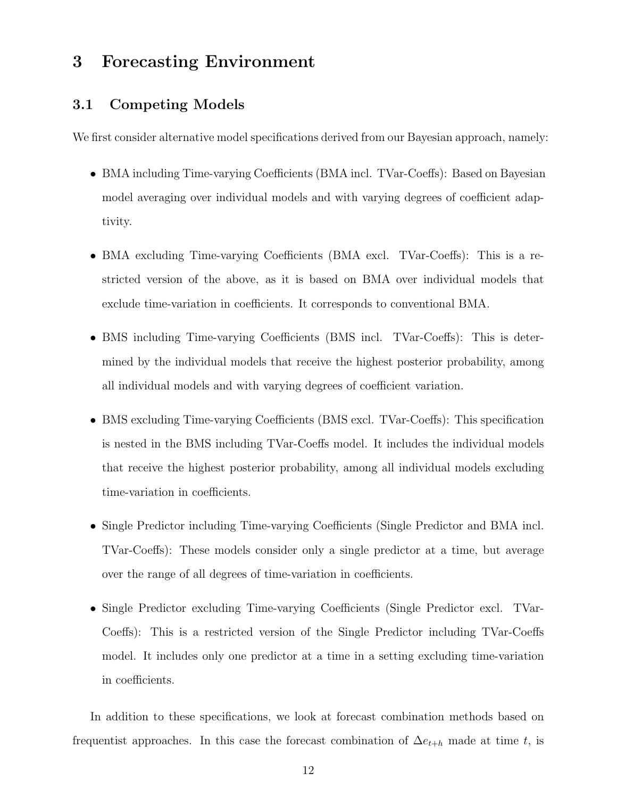# 3 Forecasting Environment

## 3.1 Competing Models

We first consider alternative model specifications derived from our Bayesian approach, namely:

- BMA including Time-varying Coefficients (BMA incl. TVar-Coeffs): Based on Bayesian model averaging over individual models and with varying degrees of coefficient adaptivity.
- BMA excluding Time-varying Coefficients (BMA excl. TVar-Coeffs): This is a restricted version of the above, as it is based on BMA over individual models that exclude time-variation in coefficients. It corresponds to conventional BMA.
- BMS including Time-varying Coefficients (BMS incl. TVar-Coeffs): This is determined by the individual models that receive the highest posterior probability, among all individual models and with varying degrees of coefficient variation.
- BMS excluding Time-varying Coefficients (BMS excl. TVar-Coeffs): This specification is nested in the BMS including TVar-Coeffs model. It includes the individual models that receive the highest posterior probability, among all individual models excluding time-variation in coefficients.
- Single Predictor including Time-varying Coefficients (Single Predictor and BMA incl. TVar-Coeffs): These models consider only a single predictor at a time, but average over the range of all degrees of time-variation in coefficients.
- Single Predictor excluding Time-varying Coefficients (Single Predictor excl. TVar-Coeffs): This is a restricted version of the Single Predictor including TVar-Coeffs model. It includes only one predictor at a time in a setting excluding time-variation in coefficients.

In addition to these specifications, we look at forecast combination methods based on frequentist approaches. In this case the forecast combination of  $\Delta e_{t+h}$  made at time t, is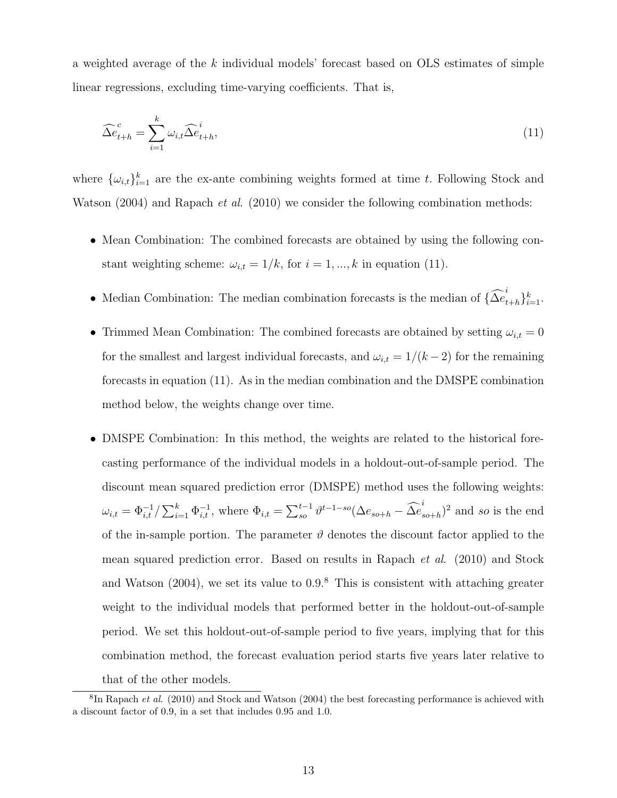a weighted average of the k individual models' forecast based on OLS estimates of simple linear regressions, excluding time-varying coefficients. That is,

$$
\widehat{\Delta e}_{t+h}^c = \sum_{i=1}^k \omega_{i,t} \widehat{\Delta e}_{t+h}^i,\tag{11}
$$

where  $\{\omega_{i,t}\}_{i=1}^k$  are the ex-ante combining weights formed at time t. Following Stock and Watson  $(2004)$  and Rapach *et al.*  $(2010)$  we consider the following combination methods:

- Mean Combination: The combined forecasts are obtained by using the following constant weighting scheme:  $\omega_{i,t} = 1/k$ , for  $i = 1, ..., k$  in equation (11).
- Median Combination: The median combination forecasts is the median of  $\{\widehat{\Delta e}^i_{t+h}\}_{i=1}^k$ .
- Trimmed Mean Combination: The combined forecasts are obtained by setting  $\omega_{i,t} = 0$ for the smallest and largest individual forecasts, and  $\omega_{i,t} = 1/(k-2)$  for the remaining forecasts in equation (11). As in the median combination and the DMSPE combination method below, the weights change over time.
- DMSPE Combination: In this method, the weights are related to the historical forecasting performance of the individual models in a holdout-out-of-sample period. The discount mean squared prediction error (DMSPE) method uses the following weights:  $\omega_{i,t} = \Phi_{i,t}^{-1} / \sum_{i=1}^{k} \Phi_{i,t}^{-1}$ , where  $\Phi_{i,t} = \sum_{so}^{t-1} \vartheta^{t-1-so} (\Delta e_{so+h} - \widehat{\Delta e}_{so}^i)$  $\binom{1}{s^2+1}$  and so is the end of the in-sample portion. The parameter  $\vartheta$  denotes the discount factor applied to the mean squared prediction error. Based on results in Rapach et al. (2010) and Stock and Watson  $(2004)$ , we set its value to  $0.9<sup>8</sup>$ . This is consistent with attaching greater weight to the individual models that performed better in the holdout-out-of-sample period. We set this holdout-out-of-sample period to five years, implying that for this combination method, the forecast evaluation period starts five years later relative to that of the other models.

 ${}^{8}$ In Rapach *et al.* (2010) and Stock and Watson (2004) the best forecasting performance is achieved with a discount factor of 0.9, in a set that includes 0.95 and 1.0.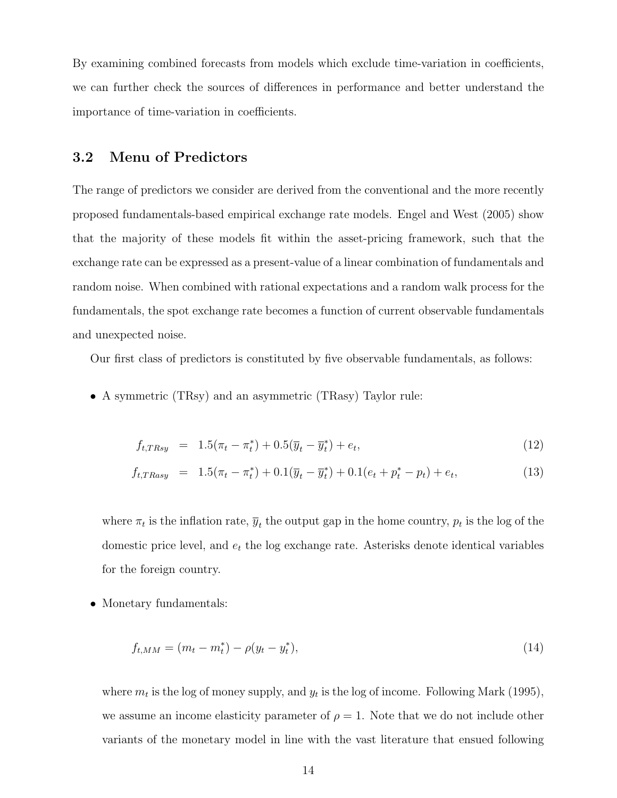By examining combined forecasts from models which exclude time-variation in coefficients, we can further check the sources of differences in performance and better understand the importance of time-variation in coefficients.

#### 3.2 Menu of Predictors

The range of predictors we consider are derived from the conventional and the more recently proposed fundamentals-based empirical exchange rate models. Engel and West (2005) show that the majority of these models fit within the asset-pricing framework, such that the exchange rate can be expressed as a present-value of a linear combination of fundamentals and random noise. When combined with rational expectations and a random walk process for the fundamentals, the spot exchange rate becomes a function of current observable fundamentals and unexpected noise.

Our first class of predictors is constituted by five observable fundamentals, as follows:

• A symmetric (TRsy) and an asymmetric (TRasy) Taylor rule:

$$
f_{t,TRsy} = 1.5(\pi_t - \pi_t^*) + 0.5(\overline{y}_t - \overline{y}_t^*) + e_t,
$$
\n(12)

$$
f_{t,TRasy} = 1.5(\pi_t - \pi_t^*) + 0.1(\overline{y}_t - \overline{y}_t^*) + 0.1(e_t + p_t^* - p_t) + e_t,
$$
\n(13)

where  $\pi_t$  is the inflation rate,  $\overline{y}_t$  the output gap in the home country,  $p_t$  is the log of the domestic price level, and  $e_t$  the log exchange rate. Asterisks denote identical variables for the foreign country.

• Monetary fundamentals:

$$
f_{t,MM} = (m_t - m_t^*) - \rho (y_t - y_t^*),
$$
\n(14)

where  $m_t$  is the log of money supply, and  $y_t$  is the log of income. Following Mark (1995), we assume an income elasticity parameter of  $\rho = 1$ . Note that we do not include other variants of the monetary model in line with the vast literature that ensued following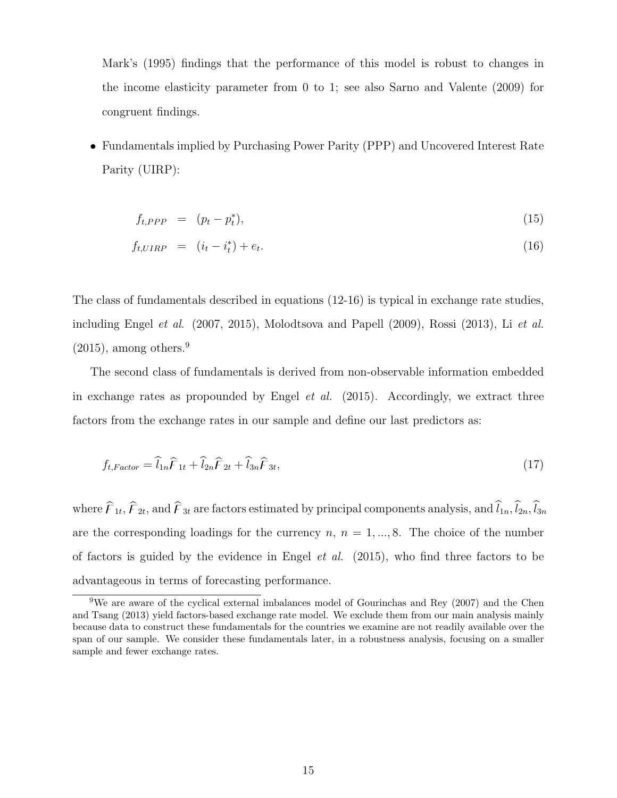Mark's (1995) findings that the performance of this model is robust to changes in the income elasticity parameter from 0 to 1; see also Sarno and Valente (2009) for congruent findings.

• Fundamentals implied by Purchasing Power Parity (PPP) and Uncovered Interest Rate Parity (UIRP):

$$
f_{t, PPP} = (p_t - p_t^*), \tag{15}
$$

$$
f_{t,UIRP} = (i_t - i_t^*) + e_t.
$$
\n(16)

The class of fundamentals described in equations (12-16) is typical in exchange rate studies, including Engel et al. (2007, 2015), Molodtsova and Papell (2009), Rossi (2013), Li et al.  $(2015)$ , among others.<sup>9</sup>

The second class of fundamentals is derived from non-observable information embedded in exchange rates as propounded by Engel  $et \ al.$  (2015). Accordingly, we extract three factors from the exchange rates in our sample and define our last predictors as:

$$
f_{t,Factor} = \hat{l}_{1n}\hat{F}_{1t} + \hat{l}_{2n}\hat{F}_{2t} + \hat{l}_{3n}\hat{F}_{3t},
$$
\n(17)

where  $\hat{F}_{1t}$ ,  $\hat{F}_{2t}$ , and  $\hat{F}_{3t}$  are factors estimated by principal components analysis, and  $\hat{l}_{1n}$ ,  $\hat{l}_{2n}$ ,  $\hat{l}_{3n}$ are the corresponding loadings for the currency  $n, n = 1, \ldots, 8$ . The choice of the number of factors is guided by the evidence in Engel  $et \ al.$  (2015), who find three factors to be advantageous in terms of forecasting performance.

<sup>9</sup>We are aware of the cyclical external imbalances model of Gourinchas and Rey (2007) and the Chen and Tsang (2013) yield factors-based exchange rate model. We exclude them from our main analysis mainly because data to construct these fundamentals for the countries we examine are not readily available over the span of our sample. We consider these fundamentals later, in a robustness analysis, focusing on a smaller sample and fewer exchange rates.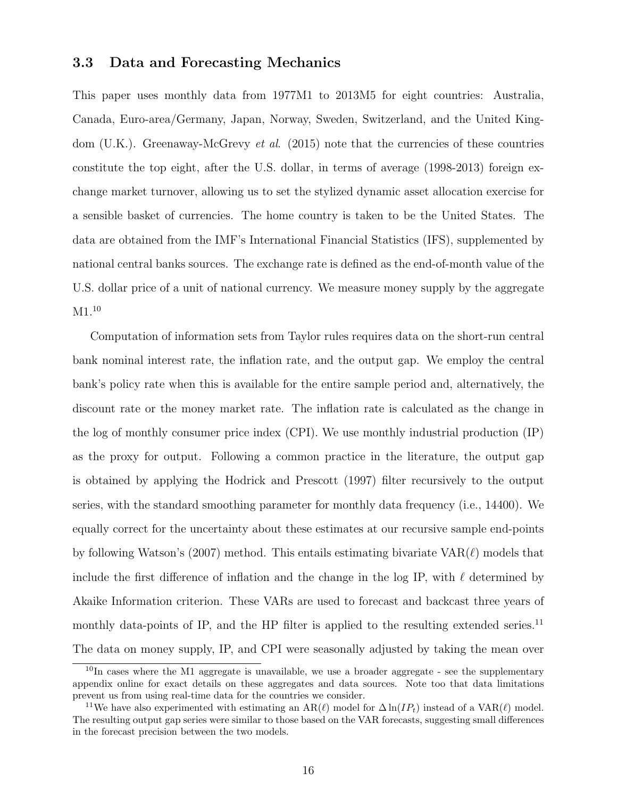## 3.3 Data and Forecasting Mechanics

This paper uses monthly data from 1977M1 to 2013M5 for eight countries: Australia, Canada, Euro-area/Germany, Japan, Norway, Sweden, Switzerland, and the United Kingdom (U.K.). Greenaway-McGrevy *et al.* (2015) note that the currencies of these countries constitute the top eight, after the U.S. dollar, in terms of average (1998-2013) foreign exchange market turnover, allowing us to set the stylized dynamic asset allocation exercise for a sensible basket of currencies. The home country is taken to be the United States. The data are obtained from the IMF's International Financial Statistics (IFS), supplemented by national central banks sources. The exchange rate is defined as the end-of-month value of the U.S. dollar price of a unit of national currency. We measure money supply by the aggregate  $M1.<sup>10</sup>$ 

Computation of information sets from Taylor rules requires data on the short-run central bank nominal interest rate, the inflation rate, and the output gap. We employ the central bank's policy rate when this is available for the entire sample period and, alternatively, the discount rate or the money market rate. The inflation rate is calculated as the change in the log of monthly consumer price index (CPI). We use monthly industrial production (IP) as the proxy for output. Following a common practice in the literature, the output gap is obtained by applying the Hodrick and Prescott (1997) filter recursively to the output series, with the standard smoothing parameter for monthly data frequency (i.e., 14400). We equally correct for the uncertainty about these estimates at our recursive sample end-points by following Watson's (2007) method. This entails estimating bivariate  $VAR(\ell)$  models that include the first difference of inflation and the change in the log IP, with  $\ell$  determined by Akaike Information criterion. These VARs are used to forecast and backcast three years of monthly data-points of IP, and the HP filter is applied to the resulting extended series.<sup>11</sup> The data on money supply, IP, and CPI were seasonally adjusted by taking the mean over

 $10$ In cases where the M1 aggregate is unavailable, we use a broader aggregate - see the supplementary appendix online for exact details on these aggregates and data sources. Note too that data limitations prevent us from using real-time data for the countries we consider.

<sup>&</sup>lt;sup>11</sup>We have also experimented with estimating an AR( $\ell$ ) model for  $\Delta \ln (IP_t)$  instead of a VAR( $\ell$ ) model. The resulting output gap series were similar to those based on the VAR forecasts, suggesting small differences in the forecast precision between the two models.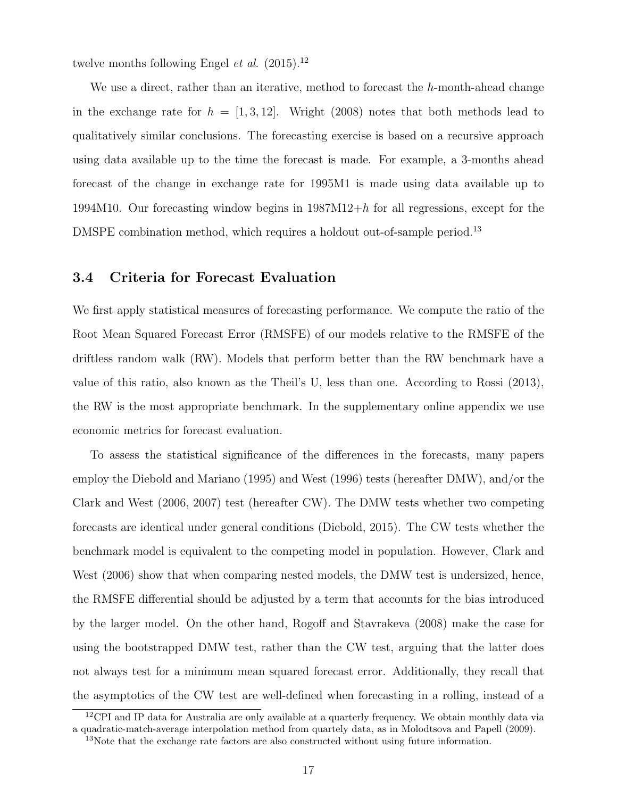twelve months following Engel *et al.*  $(2015).<sup>12</sup>$ 

We use a direct, rather than an iterative, method to forecast the  $h$ -month-ahead change in the exchange rate for  $h = [1, 3, 12]$ . Wright (2008) notes that both methods lead to qualitatively similar conclusions. The forecasting exercise is based on a recursive approach using data available up to the time the forecast is made. For example, a 3-months ahead forecast of the change in exchange rate for 1995M1 is made using data available up to 1994M10. Our forecasting window begins in  $1987M12+h$  for all regressions, except for the DMSPE combination method, which requires a holdout out-of-sample period.<sup>13</sup>

#### 3.4 Criteria for Forecast Evaluation

We first apply statistical measures of forecasting performance. We compute the ratio of the Root Mean Squared Forecast Error (RMSFE) of our models relative to the RMSFE of the driftless random walk (RW). Models that perform better than the RW benchmark have a value of this ratio, also known as the Theil's U, less than one. According to Rossi (2013), the RW is the most appropriate benchmark. In the supplementary online appendix we use economic metrics for forecast evaluation.

To assess the statistical significance of the differences in the forecasts, many papers employ the Diebold and Mariano (1995) and West (1996) tests (hereafter DMW), and/or the Clark and West (2006, 2007) test (hereafter CW). The DMW tests whether two competing forecasts are identical under general conditions (Diebold, 2015). The CW tests whether the benchmark model is equivalent to the competing model in population. However, Clark and West  $(2006)$  show that when comparing nested models, the DMW test is undersized, hence, the RMSFE differential should be adjusted by a term that accounts for the bias introduced by the larger model. On the other hand, Rogoff and Stavrakeva (2008) make the case for using the bootstrapped DMW test, rather than the CW test, arguing that the latter does not always test for a minimum mean squared forecast error. Additionally, they recall that the asymptotics of the CW test are well-defined when forecasting in a rolling, instead of a

 $12$  CPI and IP data for Australia are only available at a quarterly frequency. We obtain monthly data via a quadratic-match-average interpolation method from quartely data, as in Molodtsova and Papell (2009).

<sup>&</sup>lt;sup>13</sup>Note that the exchange rate factors are also constructed without using future information.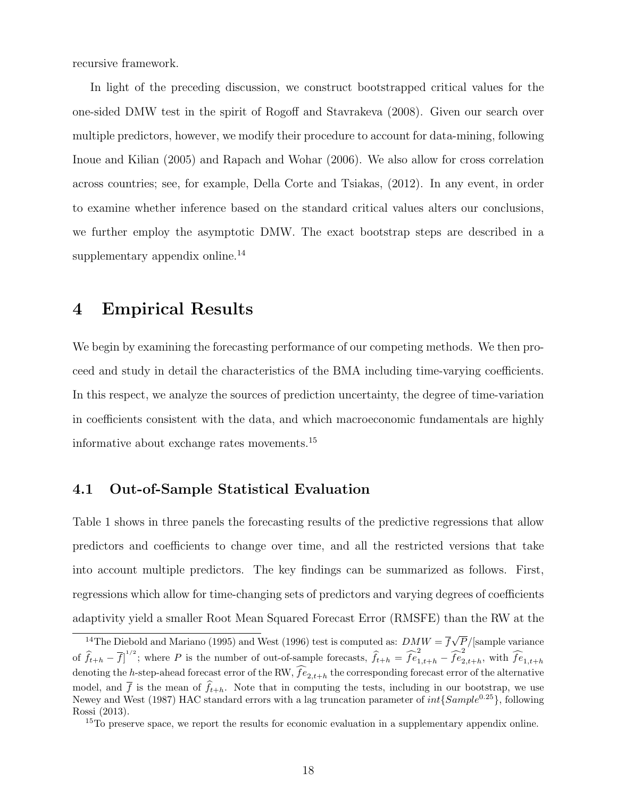recursive framework.

In light of the preceding discussion, we construct bootstrapped critical values for the one-sided DMW test in the spirit of Rogoff and Stavrakeva (2008). Given our search over multiple predictors, however, we modify their procedure to account for data-mining, following Inoue and Kilian (2005) and Rapach and Wohar (2006). We also allow for cross correlation across countries; see, for example, Della Corte and Tsiakas, (2012). In any event, in order to examine whether inference based on the standard critical values alters our conclusions, we further employ the asymptotic DMW. The exact bootstrap steps are described in a supplementary appendix online.<sup>14</sup>

# 4 Empirical Results

We begin by examining the forecasting performance of our competing methods. We then proceed and study in detail the characteristics of the BMA including time-varying coefficients. In this respect, we analyze the sources of prediction uncertainty, the degree of time-variation in coefficients consistent with the data, and which macroeconomic fundamentals are highly informative about exchange rates movements.<sup>15</sup>

## 4.1 Out-of-Sample Statistical Evaluation

Table 1 shows in three panels the forecasting results of the predictive regressions that allow predictors and coefficients to change over time, and all the restricted versions that take into account multiple predictors. The key findings can be summarized as follows. First, regressions which allow for time-changing sets of predictors and varying degrees of coefficients adaptivity yield a smaller Root Mean Squared Forecast Error (RMSFE) than the RW at the

<sup>&</sup>lt;sup>14</sup>The Diebold and Mariano (1995) and West (1996) test is computed as:  $DMW = \overline{f}\sqrt{f}$  $P/$ [sample variance of  $\widehat{f}_{t+h} - \overline{f}$ ]<sup>1/2</sup>; where P is the number of out-of-sample forecasts,  $\widehat{f}_{t+h} = \widehat{f}e_{1,t+h}^2 - \widehat{f}e_2^2$  $\bar{e}_{1,t+h}$ , with  $fe_{1,t+h}$ denoting the h-step-ahead forecast error of the RW,  $fe_{2,t+h}$  the corresponding forecast error of the alternative model, and  $\overline{f}$  is the mean of  $\hat{f}_{t+h}$ . Note that in computing the tests, including in our bootstrap, we use Newey and West (1987) HAC standard errors with a lag truncation parameter of  $int{Sample^{0.25}}$ , following Rossi (2013).

<sup>&</sup>lt;sup>15</sup>To preserve space, we report the results for economic evaluation in a supplementary appendix online.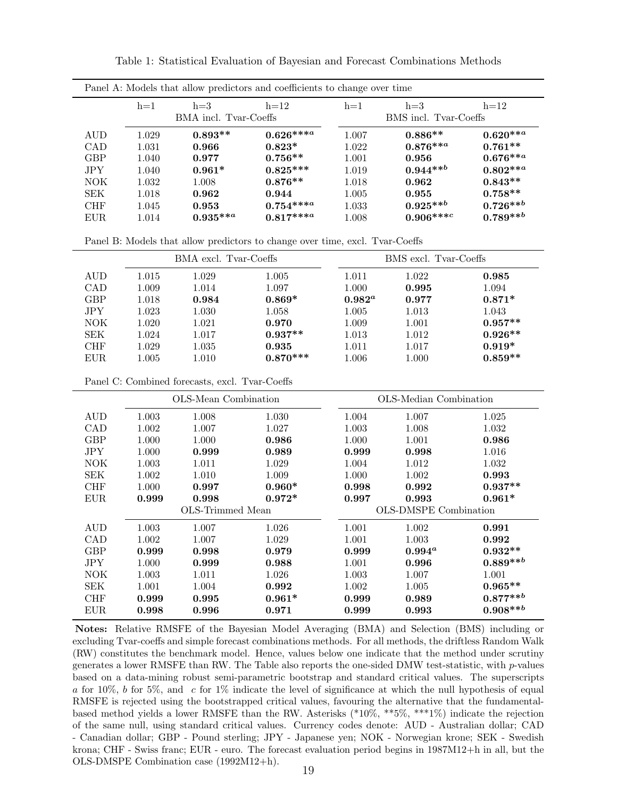| Panel A: Models that allow predictors and coefficients to change over time |              |                       |                       |             |                |  |  |  |  |  |
|----------------------------------------------------------------------------|--------------|-----------------------|-----------------------|-------------|----------------|--|--|--|--|--|
| $h=1$                                                                      | $h=3$        | $h=12$                | $h=1$                 | $h=3$       | $h=12$         |  |  |  |  |  |
|                                                                            |              | BMS incl. Tvar-Coeffs |                       |             |                |  |  |  |  |  |
| 1.029                                                                      | $0.893**$    | $0.626*****$          | 1.007                 | $0.886**$   | $0.620***^a$   |  |  |  |  |  |
| 1.031                                                                      | 0.966        | $0.823*$              | 1.022                 |             | $0.761**$      |  |  |  |  |  |
| 1.040                                                                      | 0.977        | $0.756**$             | 1.001                 | 0.956       | $0.676***^a$   |  |  |  |  |  |
| 1.040                                                                      | $0.961*$     | $0.825***$            | 1.019                 | $0.944***$  | $0.802^{***a}$ |  |  |  |  |  |
| 1.032                                                                      | 1.008        | $0.876**$             | 1.018                 | 0.962       | $0.843**$      |  |  |  |  |  |
| 1.018                                                                      | 0.962        | 0.944                 | 1.005                 | 0.955       | $0.758**$      |  |  |  |  |  |
| 1.045                                                                      | 0.953        | $0.754***^{\alpha}$   | 1.033                 | $0.925***$  | $0.726***$     |  |  |  |  |  |
| 1.014                                                                      | $0.935***^a$ | $0.817***^{\&}$       | 1.008                 | $0.906***c$ | $0.789***$     |  |  |  |  |  |
|                                                                            |              |                       | BMA incl. Tvar-Coeffs |             | $0.876***^a$   |  |  |  |  |  |

Table 1: Statistical Evaluation of Bayesian and Forecast Combinations Methods

Panel B: Models that allow predictors to change over time, excl. Tvar-Coeffs

|            |       | BMA excl. Tvar-Coeffs |            | BMS excl. Tvar-Coeffs |       |           |  |
|------------|-------|-----------------------|------------|-----------------------|-------|-----------|--|
| <b>AUD</b> | 1.015 | 1.029                 | 1.005      | 1.011                 | 1.022 | 0.985     |  |
| <b>CAD</b> | 1.009 | 1.014                 | 1.097      | 1.000                 | 0.995 | 1.094     |  |
| <b>GBP</b> | 1.018 | 0.984                 | $0.869*$   | $0.982^a$             | 0.977 | $0.871*$  |  |
| <b>JPY</b> | 1.023 | 1.030                 | 1.058      | 1.005                 | 1.013 | 1.043     |  |
| NOK        | 1.020 | 1.021                 | 0.970      | 1.009                 | 1.001 | $0.957**$ |  |
| <b>SEK</b> | 1.024 | 1.017                 | $0.937**$  | 1.013                 | 1.012 | $0.926**$ |  |
| <b>CHF</b> | 1.029 | 1.035                 | 0.935      | 1.011                 | 1.017 | $0.919*$  |  |
| EUR.       | 1.005 | 1.010                 | $0.870***$ | 1.006                 | 1.000 | $0.859**$ |  |

Panel C: Combined forecasts, excl. Tvar-Coeffs

|            |       | OLS-Mean Combination |          |       | OLS-Median Combination       |            |  |  |
|------------|-------|----------------------|----------|-------|------------------------------|------------|--|--|
| <b>AUD</b> | 1.003 | 1.008                | 1.030    | 1.004 | 1.007                        | 1.025      |  |  |
| <b>CAD</b> | 1.002 | 1.007                | 1.027    | 1.003 | 1.008                        | 1.032      |  |  |
| <b>GBP</b> | 1.000 | 1.000                | 0.986    | 1.000 | 1.001                        | 0.986      |  |  |
| <b>JPY</b> | 1.000 | 0.999                | 0.989    | 0.999 | 0.998                        | 1.016      |  |  |
| <b>NOK</b> | 1.003 | 1.011                | 1.029    | 1.004 | 1.012                        | 1.032      |  |  |
| SEK        | 1.002 | 1.010                | 1.009    | 1.000 | 1.002                        | 0.993      |  |  |
| <b>CHF</b> | 1.000 | 0.997                | $0.960*$ | 0.998 | 0.992                        | $0.937**$  |  |  |
| EUR.       | 0.999 | 0.998                | $0.972*$ | 0.997 | 0.993                        | $0.961*$   |  |  |
|            |       | OLS-Trimmed Mean     |          |       | <b>OLS-DMSPE Combination</b> |            |  |  |
| <b>AUD</b> | 1.003 | 1.007                | 1.026    | 1.001 | 1.002                        | 0.991      |  |  |
| <b>CAD</b> | 1.002 | 1.007                | 1.029    | 1.001 | 1.003                        | 0.992      |  |  |
| <b>GBP</b> | 0.999 | 0.998                | 0.979    | 0.999 | $0.994^a$                    | $0.932**$  |  |  |
| <b>JPY</b> | 1.000 | 0.999                | 0.988    | 1.001 | 0.996                        | $0.889***$ |  |  |
| NOK        | 1.003 | 1.011                | 1.026    | 1.003 | 1.007                        | 1.001      |  |  |
| SEK        | 1.001 | 1.004                | 0.992    | 1.002 | 1.005                        | $0.965**$  |  |  |
| <b>CHF</b> | 0.999 | 0.995                | $0.961*$ | 0.999 | 0.989                        | $0.877***$ |  |  |
| <b>EUR</b> | 0.998 | 0.996                | 0.971    | 0.999 | 0.993                        | $0.908***$ |  |  |

Notes: Relative RMSFE of the Bayesian Model Averaging (BMA) and Selection (BMS) including or excluding Tvar-coeffs and simple forecast combinations methods. For all methods, the driftless Random Walk (RW) constitutes the benchmark model. Hence, values below one indicate that the method under scrutiny generates a lower RMSFE than RW. The Table also reports the one-sided DMW test-statistic, with p-values based on a data-mining robust semi-parametric bootstrap and standard critical values. The superscripts a for 10%, b for 5%, and c for 1% indicate the level of significance at which the null hypothesis of equal RMSFE is rejected using the bootstrapped critical values, favouring the alternative that the fundamentalbased method yields a lower RMSFE than the RW. Asterisks (\*10%, \*\*5%, \*\*\*1%) indicate the rejection of the same null, using standard critical values. Currency codes denote: AUD - Australian dollar; CAD - Canadian dollar; GBP - Pound sterling; JPY - Japanese yen; NOK - Norwegian krone; SEK - Swedish krona; CHF - Swiss franc; EUR - euro. The forecast evaluation period begins in 1987M12+h in all, but the OLS-DMSPE Combination case (1992M12+h).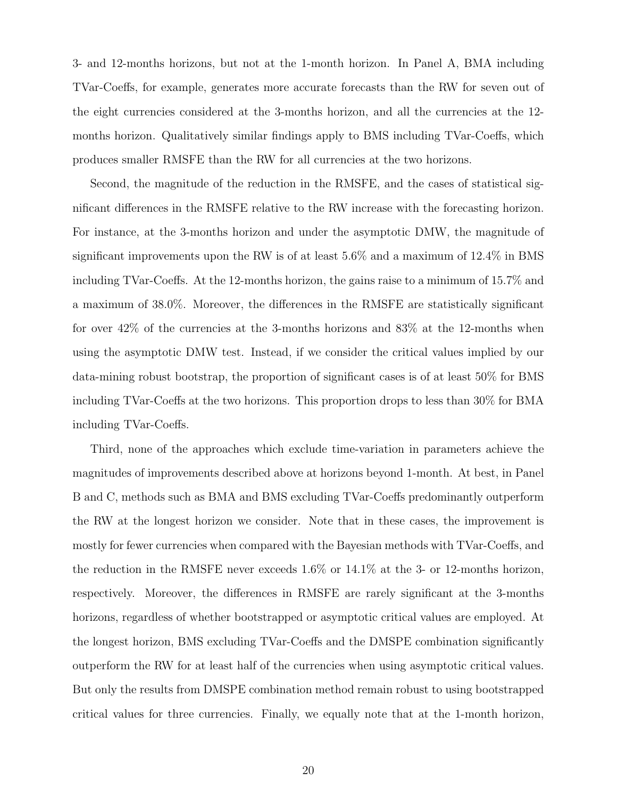3- and 12-months horizons, but not at the 1-month horizon. In Panel A, BMA including TVar-Coeffs, for example, generates more accurate forecasts than the RW for seven out of the eight currencies considered at the 3-months horizon, and all the currencies at the 12 months horizon. Qualitatively similar findings apply to BMS including TVar-Coeffs, which produces smaller RMSFE than the RW for all currencies at the two horizons.

Second, the magnitude of the reduction in the RMSFE, and the cases of statistical significant differences in the RMSFE relative to the RW increase with the forecasting horizon. For instance, at the 3-months horizon and under the asymptotic DMW, the magnitude of significant improvements upon the RW is of at least 5.6% and a maximum of 12.4% in BMS including TVar-Coeffs. At the 12-months horizon, the gains raise to a minimum of 15.7% and a maximum of 38.0%. Moreover, the differences in the RMSFE are statistically significant for over 42% of the currencies at the 3-months horizons and 83% at the 12-months when using the asymptotic DMW test. Instead, if we consider the critical values implied by our data-mining robust bootstrap, the proportion of significant cases is of at least 50% for BMS including TVar-Coeffs at the two horizons. This proportion drops to less than 30% for BMA including TVar-Coeffs.

Third, none of the approaches which exclude time-variation in parameters achieve the magnitudes of improvements described above at horizons beyond 1-month. At best, in Panel B and C, methods such as BMA and BMS excluding TVar-Coeffs predominantly outperform the RW at the longest horizon we consider. Note that in these cases, the improvement is mostly for fewer currencies when compared with the Bayesian methods with TVar-Coeffs, and the reduction in the RMSFE never exceeds 1.6% or 14.1% at the 3- or 12-months horizon, respectively. Moreover, the differences in RMSFE are rarely significant at the 3-months horizons, regardless of whether bootstrapped or asymptotic critical values are employed. At the longest horizon, BMS excluding TVar-Coeffs and the DMSPE combination significantly outperform the RW for at least half of the currencies when using asymptotic critical values. But only the results from DMSPE combination method remain robust to using bootstrapped critical values for three currencies. Finally, we equally note that at the 1-month horizon,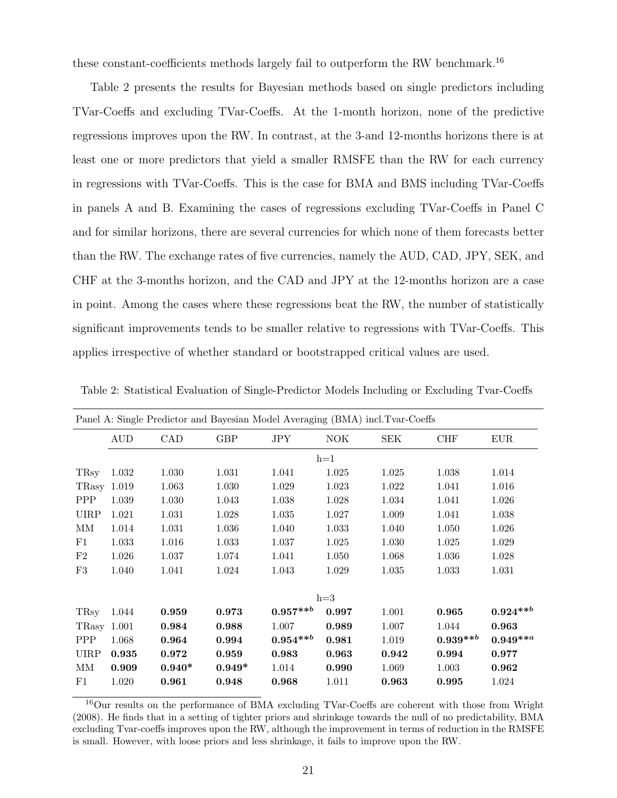these constant-coefficients methods largely fail to outperform the RW benchmark.<sup>16</sup>

Table 2 presents the results for Bayesian methods based on single predictors including TVar-Coeffs and excluding TVar-Coeffs. At the 1-month horizon, none of the predictive regressions improves upon the RW. In contrast, at the 3-and 12-months horizons there is at least one or more predictors that yield a smaller RMSFE than the RW for each currency in regressions with TVar-Coeffs. This is the case for BMA and BMS including TVar-Coeffs in panels A and B. Examining the cases of regressions excluding TVar-Coeffs in Panel C and for similar horizons, there are several currencies for which none of them forecasts better than the RW. The exchange rates of five currencies, namely the AUD, CAD, JPY, SEK, and CHF at the 3-months horizon, and the CAD and JPY at the 12-months horizon are a case in point. Among the cases where these regressions beat the RW, the number of statistically significant improvements tends to be smaller relative to regressions with TVar-Coeffs. This applies irrespective of whether standard or bootstrapped critical values are used.

|             | Panel A: Single Predictor and Bayesian Model Averaging (BMA) incl.Tvar-Coeffs |          |            |            |            |            |            |              |  |  |  |
|-------------|-------------------------------------------------------------------------------|----------|------------|------------|------------|------------|------------|--------------|--|--|--|
|             | AUD                                                                           | CAD      | <b>GBP</b> | <b>JPY</b> | <b>NOK</b> | <b>SEK</b> | CHF        | ${\rm EUR}$  |  |  |  |
|             |                                                                               |          |            |            | $h=1$      |            |            |              |  |  |  |
| <b>TRsy</b> | 1.032                                                                         | 1.030    | 1.031      | 1.041      | 1.025      | 1.025      | 1.038      | 1.014        |  |  |  |
| TRasy       | 1.019                                                                         | 1.063    | 1.030      | 1.029      | 1.023      | 1.022      | 1.041      | 1.016        |  |  |  |
| <b>PPP</b>  | 1.039                                                                         | 1.030    | 1.043      | 1.038      | 1.028      | 1.034      | 1.041      | 1.026        |  |  |  |
| <b>UIRP</b> | 1.021                                                                         | 1.031    | 1.028      | 1.035      | 1.027      | 1.009      | 1.041      | 1.038        |  |  |  |
| MM          | 1.014                                                                         | 1.031    | 1.036      | 1.040      | 1.033      | 1.040      | 1.050      | 1.026        |  |  |  |
| F1          | 1.033                                                                         | 1.016    | 1.033      | 1.037      | 1.025      | 1.030      | 1.025      | 1.029        |  |  |  |
| F2          | 1.026                                                                         | 1.037    | 1.074      | 1.041      | 1.050      | 1.068      | 1.036      | 1.028        |  |  |  |
| F3          | 1.040                                                                         | 1.041    | 1.024      | 1.043      | 1.029      | 1.035      | 1.033      | 1.031        |  |  |  |
|             |                                                                               |          |            |            | $h=3$      |            |            |              |  |  |  |
| <b>TRsy</b> | 1.044                                                                         | 0.959    | 0.973      | $0.957***$ | 0.997      | 1.001      | 0.965      | $0.924***$   |  |  |  |
| TRasy       | 1.001                                                                         | 0.984    | 0.988      | 1.007      | 0.989      | 1.007      | 1.044      | 0.963        |  |  |  |
| <b>PPP</b>  | 1.068                                                                         | 0.964    | 0.994      | $0.954***$ | 0.981      | 1.019      | $0.939***$ | $0.949***^a$ |  |  |  |
| <b>UIRP</b> | 0.935                                                                         | 0.972    | 0.959      | 0.983      | 0.963      | 0.942      | 0.994      | 0.977        |  |  |  |
| MМ          | 0.909                                                                         | $0.940*$ | $0.949*$   | 1.014      | 0.990      | 1.069      | 1.003      | 0.962        |  |  |  |
| $_{\rm F1}$ | 1.020                                                                         | 0.961    | 0.948      | 0.968      | 1.011      | 0.963      | 0.995      | 1.024        |  |  |  |

Table 2: Statistical Evaluation of Single-Predictor Models Including or Excluding Tvar-Coeffs

<sup>16</sup>Our results on the performance of BMA excluding TVar-Coeffs are coherent with those from Wright (2008). He finds that in a setting of tighter priors and shrinkage towards the null of no predictability, BMA excluding Tvar-coeffs improves upon the RW, although the improvement in terms of reduction in the RMSFE is small. However, with loose priors and less shrinkage, it fails to improve upon the RW.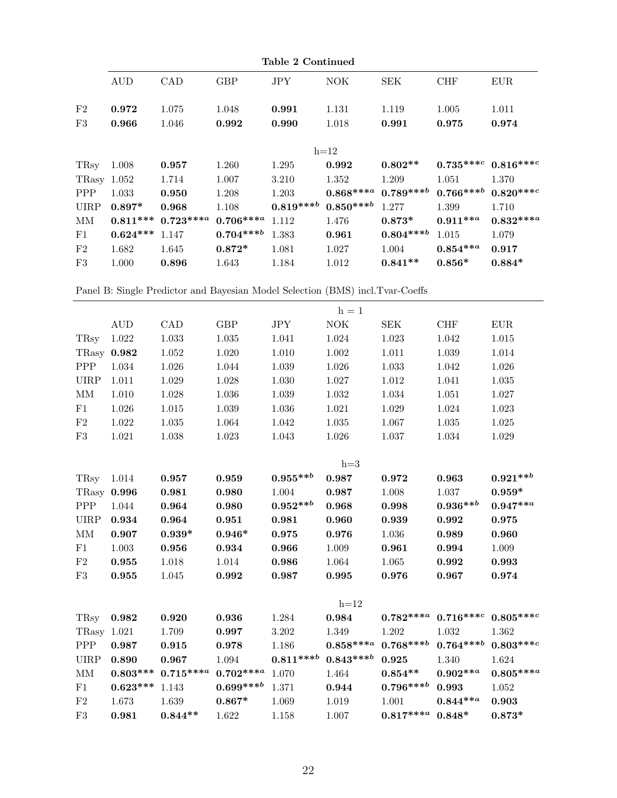|             | Table 2 Continued |                 |             |            |                 |            |                |                 |  |  |  |  |
|-------------|-------------------|-----------------|-------------|------------|-----------------|------------|----------------|-----------------|--|--|--|--|
|             | <b>AUD</b>        | <b>CAD</b>      | <b>GBP</b>  | JPY        | NOK             | <b>SEK</b> | <b>CHF</b>     | <b>EUR</b>      |  |  |  |  |
| F2          | 0.972             | 1.075           | 1.048       | 0.991      | 1.131           | 1.119      | 1.005          | 1.011           |  |  |  |  |
| F3          | 0.966             | 1.046           | 0.992       | 0.990      | 1.018           | 0.991      | 0.975          | 0.974           |  |  |  |  |
|             |                   |                 |             |            | $h=12$          |            |                |                 |  |  |  |  |
| TRsy        | 1.008             | 0.957           | 1.260       | 1.295      | 0.992           | $0.802**$  | $0.735***c$    | $0.816***c$     |  |  |  |  |
| TRasy 1.052 |                   | 1.714           | 1.007       | 3.210      | 1.352           | 1.209      | 1.051          | 1.370           |  |  |  |  |
| <b>PPP</b>  | 1.033             | 0.950           | 1.208       | 1.203      | $0.868***^{*a}$ | $0.789***$ | $0.766***$     | $0.820***c$     |  |  |  |  |
| <b>UIRP</b> | $0.897*$          | 0.968           | 1.108       | $0.819***$ | $0.850***$      | 1.277      | 1.399          | 1.710           |  |  |  |  |
| MМ          | $0.811***$        | $0.723***^{\&}$ | $0.706***a$ | 1.112      | 1.476           | $0.873*$   | $0.911***^a$   | $0.832***^{*a}$ |  |  |  |  |
| F1          | $0.624***$        | 1.147           | $0.704***$  | 1.383      | 0.961           | $0.804***$ | 1.015          | 1.079           |  |  |  |  |
| F2          | 1.682             | 1.645           | $0.872*$    | 1.081      | 1.027           | 1.004      | $0.854***^{a}$ | 0.917           |  |  |  |  |
| ${\rm F}3$  | 1.000             | 0.896           | 1.643       | 1.184      | 1.012           | $0.841**$  | $0.856*$       | $0.884*$        |  |  |  |  |

Panel B: Single Predictor and Bayesian Model Selection (BMS) incl.Tvar-Coeffs

|               |            |                     |                 |                | $h = 1$        |                       |                        |              |
|---------------|------------|---------------------|-----------------|----------------|----------------|-----------------------|------------------------|--------------|
|               | <b>AUD</b> | CAD                 | <b>GBP</b>      | $\mathrm{JPY}$ | $\rm NOK$      | <b>SEK</b>            | CHF                    | ${\rm EUR}$  |
| <b>TRsy</b>   | 1.022      | 1.033               | 1.035           | 1.041          | 1.024          | 1.023                 | 1.042                  | $1.015\,$    |
| TRasy 0.982   |            | 1.052               | 1.020           | 1.010          | $1.002\,$      | $1.011\,$             | 1.039                  | 1.014        |
| PPP           | 1.034      | 1.026               | 1.044           | 1.039          | 1.026          | 1.033                 | 1.042                  | 1.026        |
| <b>UIRP</b>   | 1.011      | 1.029               | 1.028           | 1.030          | 1.027          | $1.012\,$             | 1.041                  | 1.035        |
| MM            | 1.010      | 1.028               | 1.036           | 1.039          | 1.032          | 1.034                 | 1.051                  | 1.027        |
| F1            | 1.026      | $1.015\,$           | 1.039           | 1.036          | 1.021          | 1.029                 | 1.024                  | 1.023        |
| $\rm F2$      | 1.022      | 1.035               | 1.064           | 1.042          | 1.035          | 1.067                 | 1.035                  | 1.025        |
| $\rm F3$      | 1.021      | 1.038               | 1.023           | 1.043          | 1.026          | 1.037                 | 1.034                  | 1.029        |
|               |            |                     |                 |                |                |                       |                        |              |
|               |            |                     |                 |                | $h=3$          |                       |                        |              |
| <b>TRsy</b>   | 1.014      | 0.957               | 0.959           | $0.955***$     | 0.987          | 0.972                 | 0.963                  | $0.921***$   |
| TRasy 0.996   |            | 0.981               | 0.980           | 1.004          | 0.987          | 1.008                 | 1.037                  | $0.959*$     |
| PPP           | 1.044      | 0.964               | 0.980           | $0.952***$     | 0.968          | 0.998                 | $0.936***$             | $0.947***^a$ |
| <b>UIRP</b>   | 0.934      | 0.964               | 0.951           | 0.981          | 0.960          | 0.939                 | 0.992                  | 0.975        |
| MM            | 0.907      | $0.939*$            | $0.946*$        | 0.975          | 0.976          | $1.036\,$             | 0.989                  | 0.960        |
| F1            | $1.003\,$  | 0.956               | 0.934           | 0.966          | 1.009          | 0.961                 | 0.994                  | $1.009\,$    |
| $\rm F2$      | 0.955      | 1.018               | $1.014\,$       | 0.986          | 1.064          | $1.065\,$             | 0.992                  | 0.993        |
| ${\rm F}3$    | 0.955      | 1.045               | 0.992           | 0.987          | 0.995          | 0.976                 | 0.967                  | 0.974        |
|               |            |                     |                 |                |                |                       |                        |              |
|               |            |                     |                 |                | $h=12$         |                       |                        |              |
| <b>TRsy</b>   | 0.982      | 0.920               | 0.936           | 1.284          | 0.984          |                       | $0.782***^a$ 0.716***c | $0.805***c$  |
| TRasy 1.021   |            | 1.709               | 0.997           | 3.202          | 1.349          | 1.202                 | 1.032                  | 1.362        |
| ${\rm PPP}$   | 0.987      | 0.915               | 0.978           | 1.186          | $0.858***^{a}$ | $0.768***^{b}$        | $0.764***$             | $0.803***c$  |
| $_{\rm UIRP}$ | 0.890      | 0.967               | 1.094           | $0.811***$     | $0.843***$     | 0.925                 | 1.340                  | 1.624        |
| $\mbox{MM}$   | $0.803***$ | $0.715***^{\alpha}$ | $0.702***^{*a}$ | 1.070          | 1.464          | $0.854**$             | $0.902***^a$           | $0.805***^a$ |
| $\rm F1$      | $0.623***$ | 1.143               | $0.699***$      | 1.371          | 0.944          | $0.796***$            | 0.993                  | 1.052        |
| $\rm F2$      | 1.673      | 1.639               | $0.867*$        | 1.069          | 1.019          | 1.001                 | $0.844***$             | 0.903        |
| ${\rm F}3$    | 0.981      | $0.844**$           | 1.622           | 1.158          | 1.007          | $0.817***^a$ $0.848*$ |                        | $0.873*$     |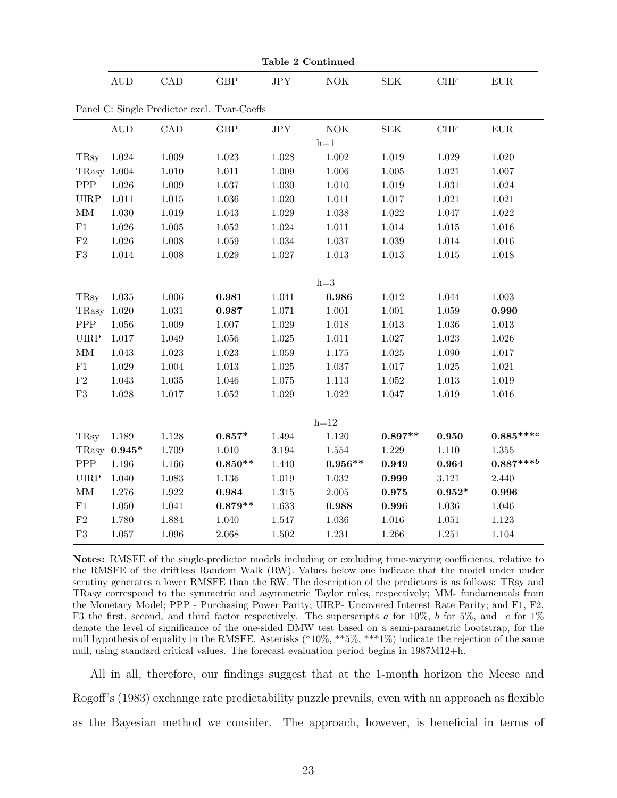|                                     | Table 2 Continued |           |                                             |                |                   |             |             |                         |  |  |  |
|-------------------------------------|-------------------|-----------|---------------------------------------------|----------------|-------------------|-------------|-------------|-------------------------|--|--|--|
|                                     | <b>AUD</b>        | CAD       | GBP                                         | $\mathrm{JPY}$ | $\rm NOK$         | <b>SEK</b>  | ${\rm CHF}$ | <b>EUR</b>              |  |  |  |
|                                     |                   |           | Panel C: Single Predictor excl. Tvar-Coeffs |                |                   |             |             |                         |  |  |  |
|                                     | <b>AUD</b>        | CAD       | GBP                                         | JPY            | $\rm NOK$         | ${\rm SEK}$ | ${\rm CHF}$ | $EUR$                   |  |  |  |
|                                     |                   |           |                                             |                | $\,h{=}1$         |             |             |                         |  |  |  |
| <b>TRsy</b>                         | 1.024             | 1.009     | $1.023\,$                                   | $1.028\,$      | 1.002             | 1.019       | 1.029       | $1.020\,$               |  |  |  |
| TRasy 1.004                         |                   | $1.010\,$ | 1.011                                       | 1.009          | 1.006             | $1.005\,$   | $1.021\,$   | 1.007                   |  |  |  |
| ${\rm PPP}$                         | $1.026\,$         | 1.009     | 1.037                                       | 1.030          | 1.010             | 1.019       | 1.031       | 1.024                   |  |  |  |
| <b>UIRP</b>                         | 1.011             | $1.015\,$ | $1.036\,$                                   | 1.020          | 1.011             | 1.017       | 1.021       | 1.021                   |  |  |  |
| $\mbox{MM}$                         | $1.030\,$         | $1.019\,$ | 1.043                                       | 1.029          | 1.038             | $1.022\,$   | 1.047       | $1.022\,$               |  |  |  |
| $\rm F1$                            | 1.026             | 1.005     | 1.052                                       | 1.024          | 1.011             | 1.014       | 1.015       | 1.016                   |  |  |  |
| $\rm F2$                            | 1.026             | 1.008     | 1.059                                       | 1.034          | 1.037             | 1.039       | 1.014       | 1.016                   |  |  |  |
| ${\rm F}3$                          | 1.014             | $1.008\,$ | 1.029                                       | $1.027\,$      | $1.013\,$         | $1.013\,$   | $1.015\,$   | 1.018                   |  |  |  |
|                                     |                   |           |                                             |                | $h=3$             |             |             |                         |  |  |  |
| <b>TRsy</b>                         | 1.035             | 1.006     | 0.981                                       | 1.041          | 0.986             | 1.012       | 1.044       | $1.003\,$               |  |  |  |
| TRasy 1.020                         |                   | $1.031\,$ | 0.987                                       | 1.071          | $1.001\,$         | $1.001\,$   | 1.059       | 0.990                   |  |  |  |
| PPP                                 | 1.056             | 1.009     | 1.007                                       | 1.029          | 1.018             | 1.013       | 1.036       | 1.013                   |  |  |  |
| $\ensuremath{\mathrm{UIRP}}\xspace$ | 1.017             | 1.049     | 1.056                                       | 1.025          | 1.011             | 1.027       | 1.023       | 1.026                   |  |  |  |
| $\mbox{MM}$                         | 1.043             | $1.023\,$ | 1.023                                       | 1.059          | 1.175             | 1.025       | 1.090       | 1.017                   |  |  |  |
| $\rm F1$                            | 1.029             | 1.004     | 1.013                                       | 1.025          | 1.037             | 1.017       | 1.025       | 1.021                   |  |  |  |
| $\rm F2$                            | 1.043             | $1.035\,$ | 1.046                                       | 1.075          | 1.113             | 1.052       | 1.013       | 1.019                   |  |  |  |
| ${\rm F}3$                          | 1.028             | $1.017\,$ | 1.052                                       | 1.029          | 1.022             | 1.047       | 1.019       | 1.016                   |  |  |  |
|                                     |                   |           |                                             |                | $\mathrm{h}{=}12$ |             |             |                         |  |  |  |
| <b>TRsy</b>                         | 1.189             | 1.128     | $0.857*$                                    | 1.494          | 1.120             | $0.897**$   | 0.950       | $0.885***c$             |  |  |  |
|                                     | TRasy 0.945*      | 1.709     | 1.010                                       |                | 1.554             | 1.229       | 1.110       |                         |  |  |  |
|                                     | 1.196             |           | $0.850**$                                   | 3.194          | $0.956**$         | 0.949       |             | $1.355\,$<br>$0.887***$ |  |  |  |
| ${\rm PPP}$                         |                   | 1.166     |                                             | 1.440          |                   |             | 0.964       |                         |  |  |  |
| <b>UIRP</b>                         | 1.040             | 1.083     | 1.136                                       | 1.019          | 1.032             | 0.999       | $3.121\,$   | 2.440                   |  |  |  |
| $\mbox{MM}$                         | 1.276             | $1.922\,$ | 0.984                                       | $1.315\,$      | $2.005\,$         | 0.975       | $0.952*$    | 0.996                   |  |  |  |
| $\rm F1$                            | 1.050             | 1.041     | $0.879**$                                   | $1.633\,$      | 0.988             | 0.996       | 1.036       | 1.046                   |  |  |  |
| $\rm F2$                            | 1.780             | 1.884     | 1.040                                       | $1.547\,$      | $1.036\,$         | $1.016\,$   | 1.051       | 1.123                   |  |  |  |
| ${\rm F}3$                          | 1.057             | 1.096     | 2.068                                       | 1.502          | 1.231             | 1.266       | 1.251       | 1.104                   |  |  |  |

Notes: RMSFE of the single-predictor models including or excluding time-varying coefficients, relative to the RMSFE of the driftless Random Walk (RW). Values below one indicate that the model under under scrutiny generates a lower RMSFE than the RW. The description of the predictors is as follows: TRsy and TRasy correspond to the symmetric and asymmetric Taylor rules, respectively; MM- fundamentals from the Monetary Model; PPP - Purchasing Power Parity; UIRP- Uncovered Interest Rate Parity; and F1, F2, F3 the first, second, and third factor respectively. The superscripts a for  $10\%$ , b for  $5\%$ , and c for  $1\%$ denote the level of significance of the one-sided DMW test based on a semi-parametric bootstrap, for the null hypothesis of equality in the RMSFE. Asterisks (\*10%, \*\*5%, \*\*\*1%) indicate the rejection of the same null, using standard critical values. The forecast evaluation period begins in 1987M12+h.

All in all, therefore, our findings suggest that at the 1-month horizon the Meese and Rogoff's (1983) exchange rate predictability puzzle prevails, even with an approach as flexible as the Bayesian method we consider. The approach, however, is beneficial in terms of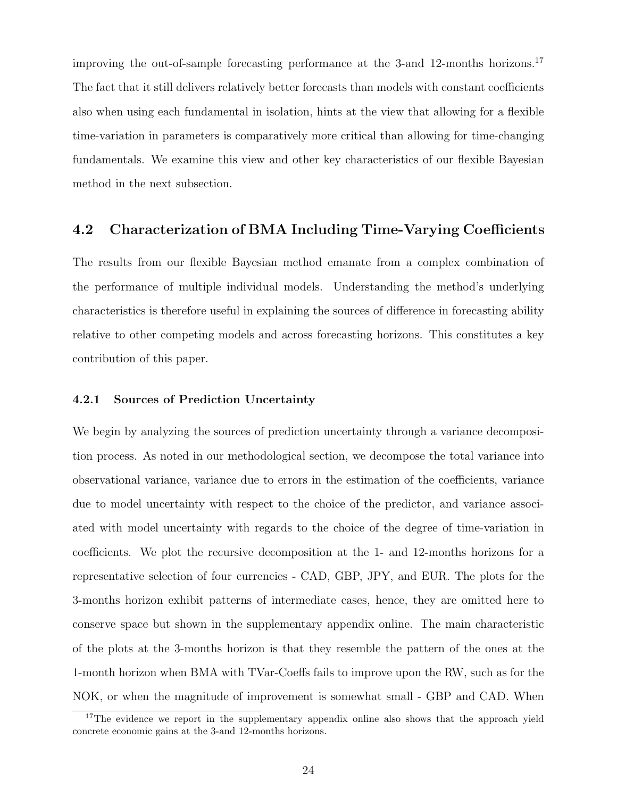improving the out-of-sample forecasting performance at the 3-and 12-months horizons.<sup>17</sup> The fact that it still delivers relatively better forecasts than models with constant coefficients also when using each fundamental in isolation, hints at the view that allowing for a flexible time-variation in parameters is comparatively more critical than allowing for time-changing fundamentals. We examine this view and other key characteristics of our flexible Bayesian method in the next subsection.

## 4.2 Characterization of BMA Including Time-Varying Coefficients

The results from our flexible Bayesian method emanate from a complex combination of the performance of multiple individual models. Understanding the method's underlying characteristics is therefore useful in explaining the sources of difference in forecasting ability relative to other competing models and across forecasting horizons. This constitutes a key contribution of this paper.

#### 4.2.1 Sources of Prediction Uncertainty

We begin by analyzing the sources of prediction uncertainty through a variance decomposition process. As noted in our methodological section, we decompose the total variance into observational variance, variance due to errors in the estimation of the coefficients, variance due to model uncertainty with respect to the choice of the predictor, and variance associated with model uncertainty with regards to the choice of the degree of time-variation in coefficients. We plot the recursive decomposition at the 1- and 12-months horizons for a representative selection of four currencies - CAD, GBP, JPY, and EUR. The plots for the 3-months horizon exhibit patterns of intermediate cases, hence, they are omitted here to conserve space but shown in the supplementary appendix online. The main characteristic of the plots at the 3-months horizon is that they resemble the pattern of the ones at the 1-month horizon when BMA with TVar-Coeffs fails to improve upon the RW, such as for the NOK, or when the magnitude of improvement is somewhat small - GBP and CAD. When

<sup>&</sup>lt;sup>17</sup>The evidence we report in the supplementary appendix online also shows that the approach yield concrete economic gains at the 3-and 12-months horizons.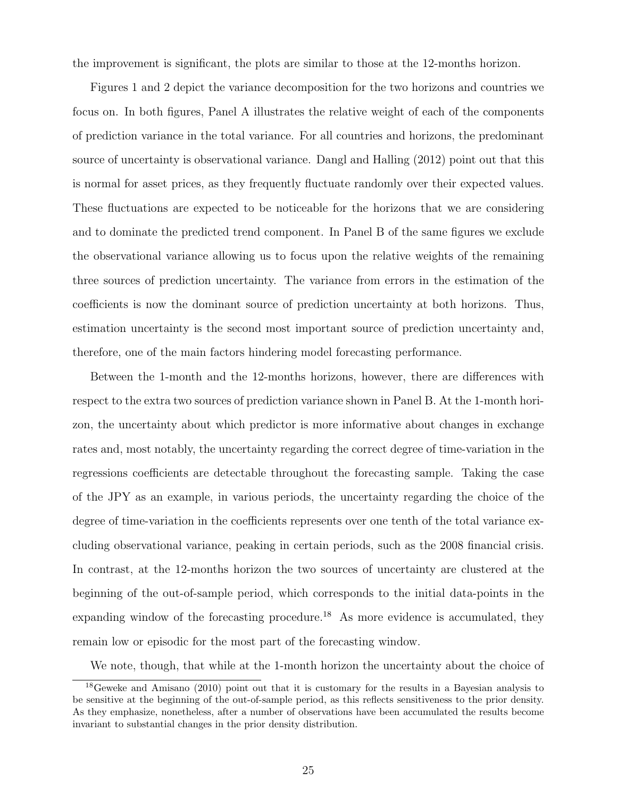the improvement is significant, the plots are similar to those at the 12-months horizon.

Figures 1 and 2 depict the variance decomposition for the two horizons and countries we focus on. In both figures, Panel A illustrates the relative weight of each of the components of prediction variance in the total variance. For all countries and horizons, the predominant source of uncertainty is observational variance. Dangl and Halling (2012) point out that this is normal for asset prices, as they frequently fluctuate randomly over their expected values. These fluctuations are expected to be noticeable for the horizons that we are considering and to dominate the predicted trend component. In Panel B of the same figures we exclude the observational variance allowing us to focus upon the relative weights of the remaining three sources of prediction uncertainty. The variance from errors in the estimation of the coefficients is now the dominant source of prediction uncertainty at both horizons. Thus, estimation uncertainty is the second most important source of prediction uncertainty and, therefore, one of the main factors hindering model forecasting performance.

Between the 1-month and the 12-months horizons, however, there are differences with respect to the extra two sources of prediction variance shown in Panel B. At the 1-month horizon, the uncertainty about which predictor is more informative about changes in exchange rates and, most notably, the uncertainty regarding the correct degree of time-variation in the regressions coefficients are detectable throughout the forecasting sample. Taking the case of the JPY as an example, in various periods, the uncertainty regarding the choice of the degree of time-variation in the coefficients represents over one tenth of the total variance excluding observational variance, peaking in certain periods, such as the 2008 financial crisis. In contrast, at the 12-months horizon the two sources of uncertainty are clustered at the beginning of the out-of-sample period, which corresponds to the initial data-points in the expanding window of the forecasting procedure.<sup>18</sup> As more evidence is accumulated, they remain low or episodic for the most part of the forecasting window.

We note, though, that while at the 1-month horizon the uncertainty about the choice of

<sup>18</sup>Geweke and Amisano (2010) point out that it is customary for the results in a Bayesian analysis to be sensitive at the beginning of the out-of-sample period, as this reflects sensitiveness to the prior density. As they emphasize, nonetheless, after a number of observations have been accumulated the results become invariant to substantial changes in the prior density distribution.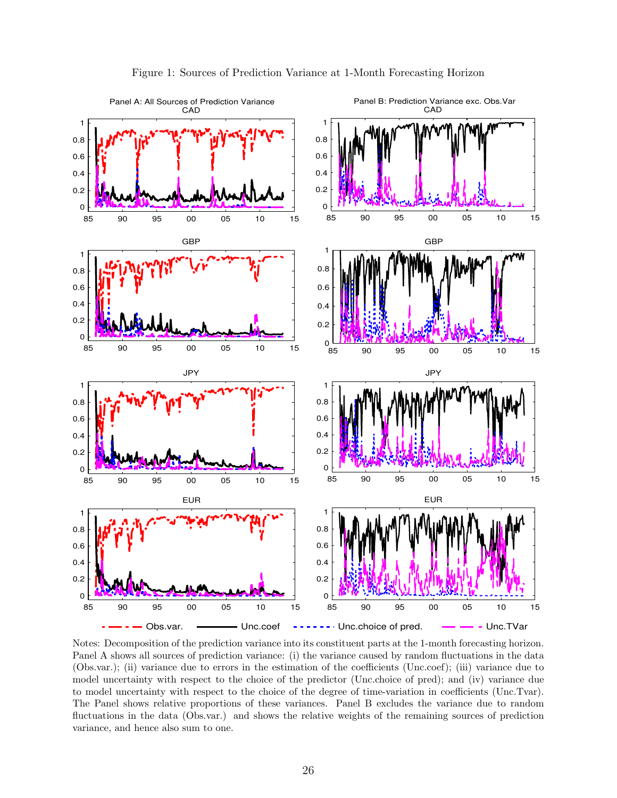

Figure 1: Sources of Prediction Variance at 1-Month Forecasting Horizon

Notes: Decomposition of the prediction variance into its constituent parts at the 1-month forecasting horizon. Panel A shows all sources of prediction variance: (i) the variance caused by random fluctuations in the data (Obs.var.); (ii) variance due to errors in the estimation of the coefficients (Unc.coef); (iii) variance due to model uncertainty with respect to the choice of the predictor (Unc.choice of pred); and (iv) variance due to model uncertainty with respect to the choice of the degree of time-variation in coefficients (Unc.Tvar). The Panel shows relative proportions of these variances. Panel B excludes the variance due to random fluctuations in the data (Obs.var.) and shows the relative weights of the remaining sources of prediction variance, and hence also sum to one.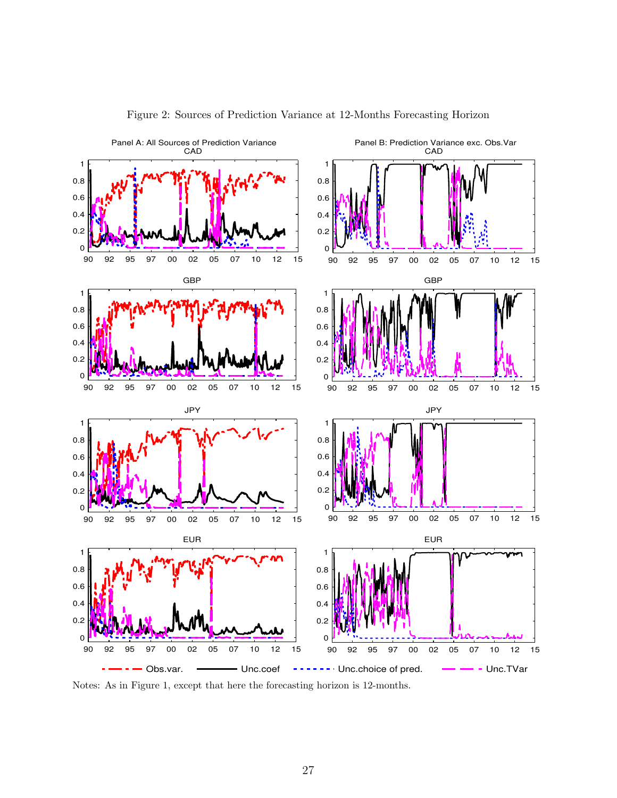

#### Figure 2: Sources of Prediction Variance at 12-Months Forecasting Horizon

Notes: As in Figure 1, except that here the forecasting horizon is 12-months.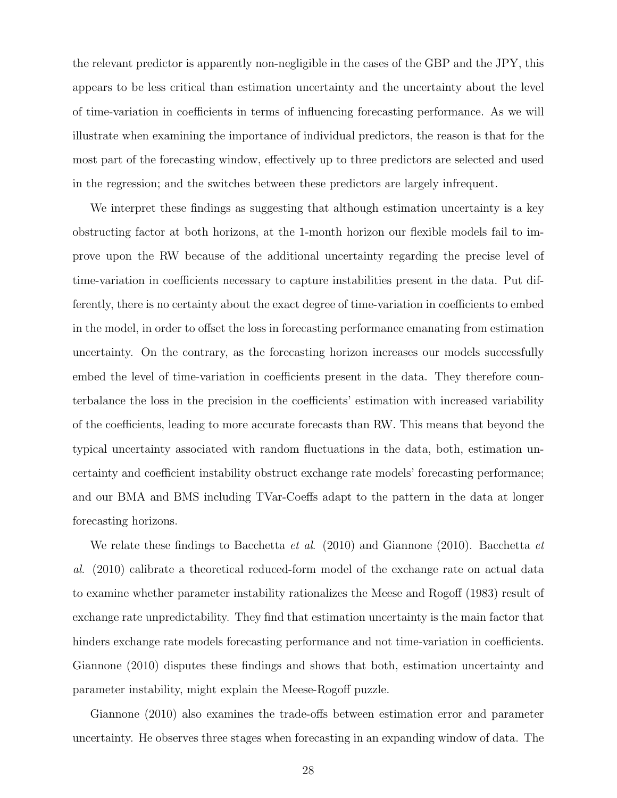the relevant predictor is apparently non-negligible in the cases of the GBP and the JPY, this appears to be less critical than estimation uncertainty and the uncertainty about the level of time-variation in coefficients in terms of influencing forecasting performance. As we will illustrate when examining the importance of individual predictors, the reason is that for the most part of the forecasting window, effectively up to three predictors are selected and used in the regression; and the switches between these predictors are largely infrequent.

We interpret these findings as suggesting that although estimation uncertainty is a key obstructing factor at both horizons, at the 1-month horizon our flexible models fail to improve upon the RW because of the additional uncertainty regarding the precise level of time-variation in coefficients necessary to capture instabilities present in the data. Put differently, there is no certainty about the exact degree of time-variation in coefficients to embed in the model, in order to offset the loss in forecasting performance emanating from estimation uncertainty. On the contrary, as the forecasting horizon increases our models successfully embed the level of time-variation in coefficients present in the data. They therefore counterbalance the loss in the precision in the coefficients' estimation with increased variability of the coefficients, leading to more accurate forecasts than RW. This means that beyond the typical uncertainty associated with random fluctuations in the data, both, estimation uncertainty and coefficient instability obstruct exchange rate models' forecasting performance; and our BMA and BMS including TVar-Coeffs adapt to the pattern in the data at longer forecasting horizons.

We relate these findings to Bacchetta *et al.* (2010) and Giannone (2010). Bacchetta *et* al. (2010) calibrate a theoretical reduced-form model of the exchange rate on actual data to examine whether parameter instability rationalizes the Meese and Rogoff (1983) result of exchange rate unpredictability. They find that estimation uncertainty is the main factor that hinders exchange rate models forecasting performance and not time-variation in coefficients. Giannone (2010) disputes these findings and shows that both, estimation uncertainty and parameter instability, might explain the Meese-Rogoff puzzle.

Giannone (2010) also examines the trade-offs between estimation error and parameter uncertainty. He observes three stages when forecasting in an expanding window of data. The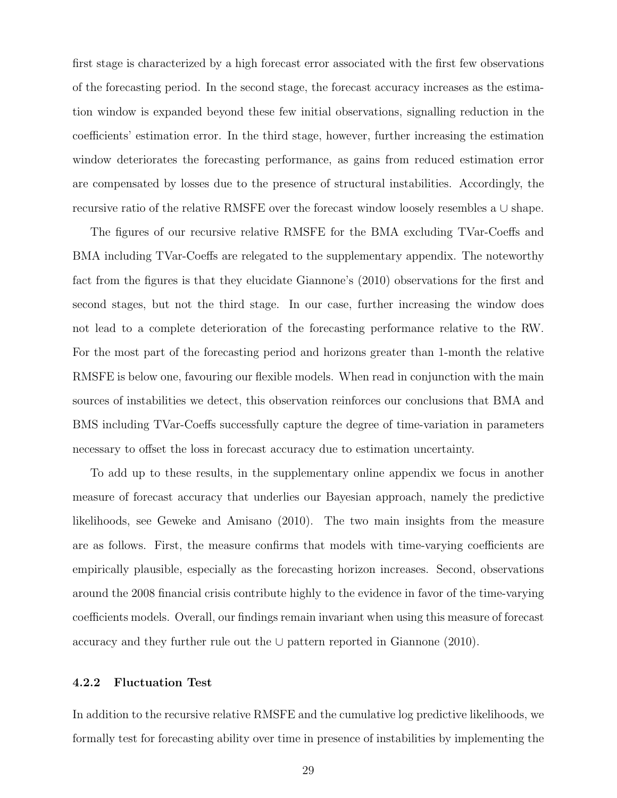first stage is characterized by a high forecast error associated with the first few observations of the forecasting period. In the second stage, the forecast accuracy increases as the estimation window is expanded beyond these few initial observations, signalling reduction in the coefficients' estimation error. In the third stage, however, further increasing the estimation window deteriorates the forecasting performance, as gains from reduced estimation error are compensated by losses due to the presence of structural instabilities. Accordingly, the recursive ratio of the relative RMSFE over the forecast window loosely resembles a ∪ shape.

The figures of our recursive relative RMSFE for the BMA excluding TVar-Coeffs and BMA including TVar-Coeffs are relegated to the supplementary appendix. The noteworthy fact from the figures is that they elucidate Giannone's (2010) observations for the first and second stages, but not the third stage. In our case, further increasing the window does not lead to a complete deterioration of the forecasting performance relative to the RW. For the most part of the forecasting period and horizons greater than 1-month the relative RMSFE is below one, favouring our flexible models. When read in conjunction with the main sources of instabilities we detect, this observation reinforces our conclusions that BMA and BMS including TVar-Coeffs successfully capture the degree of time-variation in parameters necessary to offset the loss in forecast accuracy due to estimation uncertainty.

To add up to these results, in the supplementary online appendix we focus in another measure of forecast accuracy that underlies our Bayesian approach, namely the predictive likelihoods, see Geweke and Amisano (2010). The two main insights from the measure are as follows. First, the measure confirms that models with time-varying coefficients are empirically plausible, especially as the forecasting horizon increases. Second, observations around the 2008 financial crisis contribute highly to the evidence in favor of the time-varying coefficients models. Overall, our findings remain invariant when using this measure of forecast accuracy and they further rule out the ∪ pattern reported in Giannone (2010).

#### 4.2.2 Fluctuation Test

In addition to the recursive relative RMSFE and the cumulative log predictive likelihoods, we formally test for forecasting ability over time in presence of instabilities by implementing the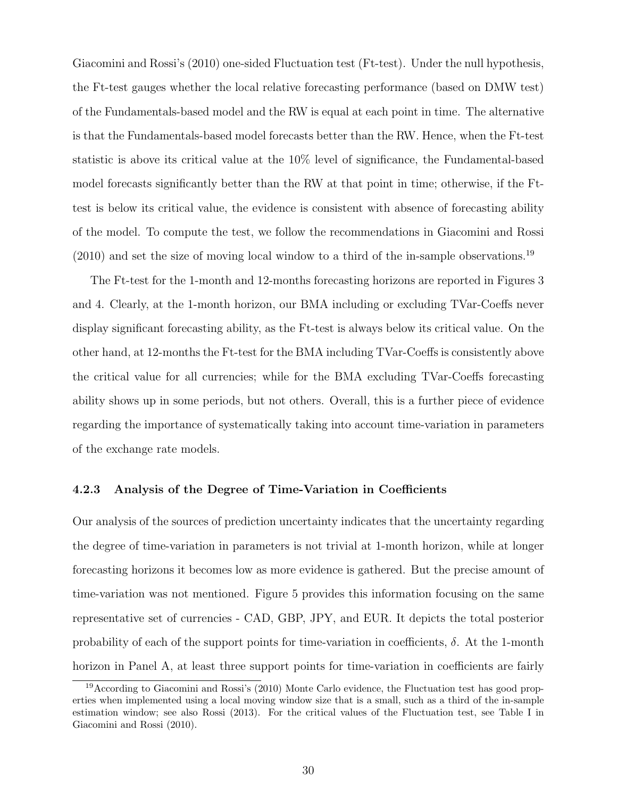Giacomini and Rossi's (2010) one-sided Fluctuation test (Ft-test). Under the null hypothesis, the Ft-test gauges whether the local relative forecasting performance (based on DMW test) of the Fundamentals-based model and the RW is equal at each point in time. The alternative is that the Fundamentals-based model forecasts better than the RW. Hence, when the Ft-test statistic is above its critical value at the 10% level of significance, the Fundamental-based model forecasts significantly better than the RW at that point in time; otherwise, if the Fttest is below its critical value, the evidence is consistent with absence of forecasting ability of the model. To compute the test, we follow the recommendations in Giacomini and Rossi  $(2010)$  and set the size of moving local window to a third of the in-sample observations.<sup>19</sup>

The Ft-test for the 1-month and 12-months forecasting horizons are reported in Figures 3 and 4. Clearly, at the 1-month horizon, our BMA including or excluding TVar-Coeffs never display significant forecasting ability, as the Ft-test is always below its critical value. On the other hand, at 12-months the Ft-test for the BMA including TVar-Coeffs is consistently above the critical value for all currencies; while for the BMA excluding TVar-Coeffs forecasting ability shows up in some periods, but not others. Overall, this is a further piece of evidence regarding the importance of systematically taking into account time-variation in parameters of the exchange rate models.

#### 4.2.3 Analysis of the Degree of Time-Variation in Coefficients

Our analysis of the sources of prediction uncertainty indicates that the uncertainty regarding the degree of time-variation in parameters is not trivial at 1-month horizon, while at longer forecasting horizons it becomes low as more evidence is gathered. But the precise amount of time-variation was not mentioned. Figure 5 provides this information focusing on the same representative set of currencies - CAD, GBP, JPY, and EUR. It depicts the total posterior probability of each of the support points for time-variation in coefficients,  $\delta$ . At the 1-month horizon in Panel A, at least three support points for time-variation in coefficients are fairly

<sup>&</sup>lt;sup>19</sup>According to Giacomini and Rossi's (2010) Monte Carlo evidence, the Fluctuation test has good properties when implemented using a local moving window size that is a small, such as a third of the in-sample estimation window; see also Rossi (2013). For the critical values of the Fluctuation test, see Table I in Giacomini and Rossi (2010).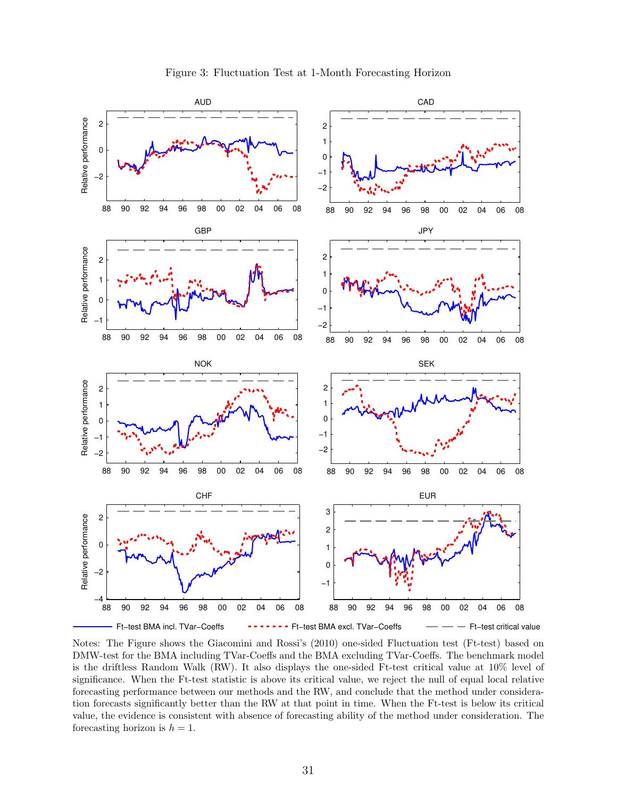

Figure 3: Fluctuation Test at 1-Month Forecasting Horizon

Notes: The Figure shows the Giacomini and Rossi's (2010) one-sided Fluctuation test (Ft-test) based on DMW-test for the BMA including TVar-Coeffs and the BMA excluding TVar-Coeffs. The benchmark model is the driftless Random Walk (RW). It also displays the one-sided Ft-test critical value at 10% level of significance. When the Ft-test statistic is above its critical value, we reject the null of equal local relative forecasting performance between our methods and the RW, and conclude that the method under consideration forecasts significantly better than the RW at that point in time. When the Ft-test is below its critical value, the evidence is consistent with absence of forecasting ability of the method under consideration. The forecasting horizon is  $h = 1$ .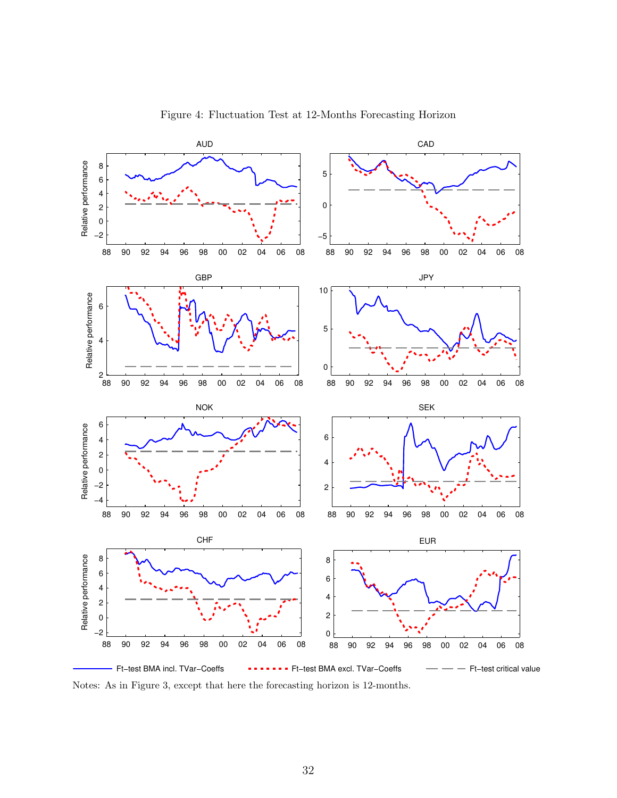

Figure 4: Fluctuation Test at 12-Months Forecasting Horizon

Notes: As in Figure 3, except that here the forecasting horizon is 12-months.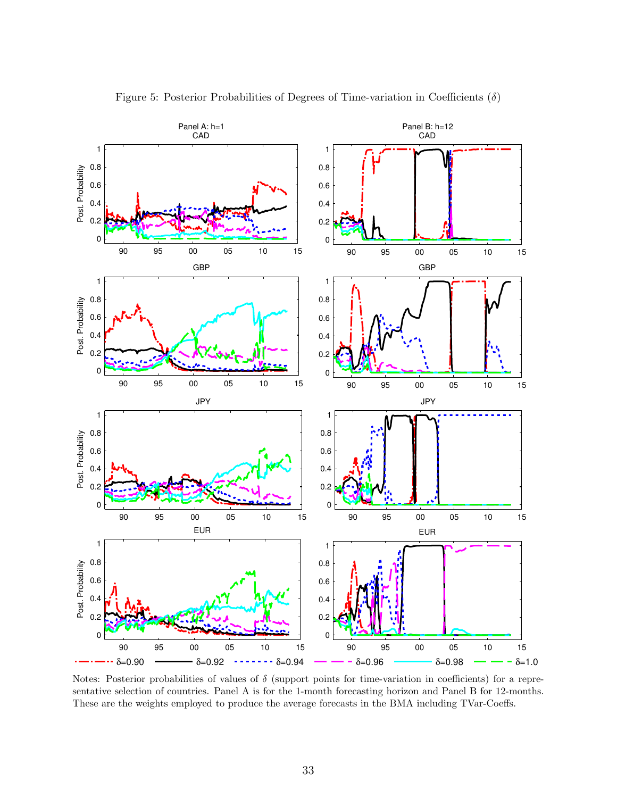

Figure 5: Posterior Probabilities of Degrees of Time-variation in Coefficients  $(\delta)$ 

Notes: Posterior probabilities of values of  $\delta$  (support points for time-variation in coefficients) for a representative selection of countries. Panel A is for the 1-month forecasting horizon and Panel B for 12-months. These are the weights employed to produce the average forecasts in the BMA including TVar-Coeffs.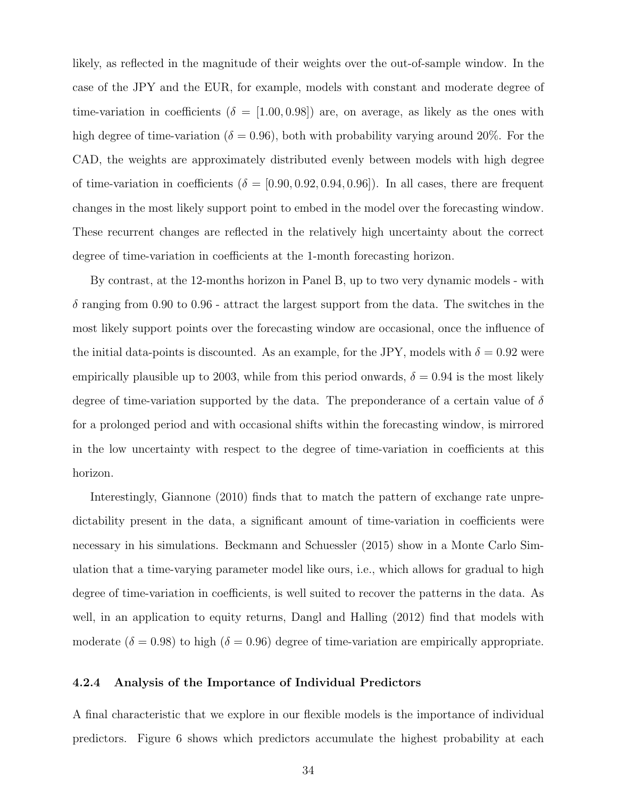likely, as reflected in the magnitude of their weights over the out-of-sample window. In the case of the JPY and the EUR, for example, models with constant and moderate degree of time-variation in coefficients ( $\delta = [1.00, 0.98]$ ) are, on average, as likely as the ones with high degree of time-variation ( $\delta = 0.96$ ), both with probability varying around 20%. For the CAD, the weights are approximately distributed evenly between models with high degree of time-variation in coefficients ( $\delta = [0.90, 0.92, 0.94, 0.96]$ ). In all cases, there are frequent changes in the most likely support point to embed in the model over the forecasting window. These recurrent changes are reflected in the relatively high uncertainty about the correct degree of time-variation in coefficients at the 1-month forecasting horizon.

By contrast, at the 12-months horizon in Panel B, up to two very dynamic models - with  $\delta$  ranging from 0.90 to 0.96 - attract the largest support from the data. The switches in the most likely support points over the forecasting window are occasional, once the influence of the initial data-points is discounted. As an example, for the JPY, models with  $\delta = 0.92$  were empirically plausible up to 2003, while from this period onwards,  $\delta = 0.94$  is the most likely degree of time-variation supported by the data. The preponderance of a certain value of  $\delta$ for a prolonged period and with occasional shifts within the forecasting window, is mirrored in the low uncertainty with respect to the degree of time-variation in coefficients at this horizon.

Interestingly, Giannone (2010) finds that to match the pattern of exchange rate unpredictability present in the data, a significant amount of time-variation in coefficients were necessary in his simulations. Beckmann and Schuessler (2015) show in a Monte Carlo Simulation that a time-varying parameter model like ours, i.e., which allows for gradual to high degree of time-variation in coefficients, is well suited to recover the patterns in the data. As well, in an application to equity returns, Dangl and Halling (2012) find that models with moderate ( $\delta = 0.98$ ) to high ( $\delta = 0.96$ ) degree of time-variation are empirically appropriate.

#### 4.2.4 Analysis of the Importance of Individual Predictors

A final characteristic that we explore in our flexible models is the importance of individual predictors. Figure 6 shows which predictors accumulate the highest probability at each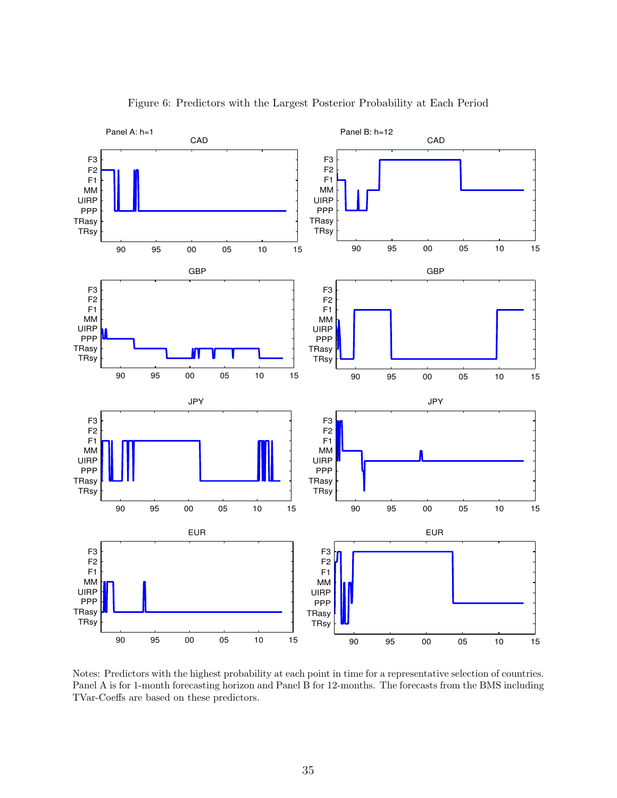

Figure 6: Predictors with the Largest Posterior Probability at Each Period

Notes: Predictors with the highest probability at each point in time for a representative selection of countries. Panel A is for 1-month forecasting horizon and Panel B for 12-months. The forecasts from the BMS including TVar-Coeffs are based on these predictors.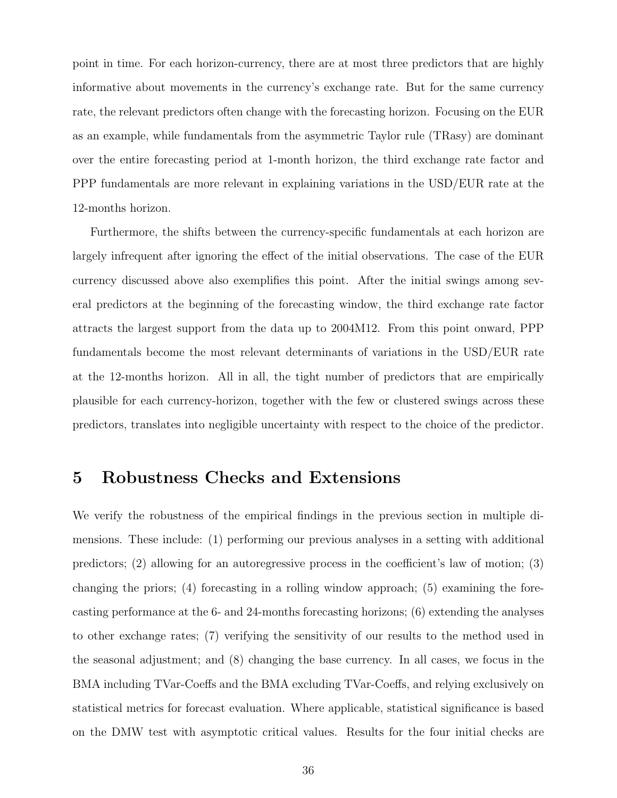point in time. For each horizon-currency, there are at most three predictors that are highly informative about movements in the currency's exchange rate. But for the same currency rate, the relevant predictors often change with the forecasting horizon. Focusing on the EUR as an example, while fundamentals from the asymmetric Taylor rule (TRasy) are dominant over the entire forecasting period at 1-month horizon, the third exchange rate factor and PPP fundamentals are more relevant in explaining variations in the USD/EUR rate at the 12-months horizon.

Furthermore, the shifts between the currency-specific fundamentals at each horizon are largely infrequent after ignoring the effect of the initial observations. The case of the EUR currency discussed above also exemplifies this point. After the initial swings among several predictors at the beginning of the forecasting window, the third exchange rate factor attracts the largest support from the data up to 2004M12. From this point onward, PPP fundamentals become the most relevant determinants of variations in the USD/EUR rate at the 12-months horizon. All in all, the tight number of predictors that are empirically plausible for each currency-horizon, together with the few or clustered swings across these predictors, translates into negligible uncertainty with respect to the choice of the predictor.

# 5 Robustness Checks and Extensions

We verify the robustness of the empirical findings in the previous section in multiple dimensions. These include: (1) performing our previous analyses in a setting with additional predictors; (2) allowing for an autoregressive process in the coefficient's law of motion; (3) changing the priors; (4) forecasting in a rolling window approach; (5) examining the forecasting performance at the 6- and 24-months forecasting horizons; (6) extending the analyses to other exchange rates; (7) verifying the sensitivity of our results to the method used in the seasonal adjustment; and (8) changing the base currency. In all cases, we focus in the BMA including TVar-Coeffs and the BMA excluding TVar-Coeffs, and relying exclusively on statistical metrics for forecast evaluation. Where applicable, statistical significance is based on the DMW test with asymptotic critical values. Results for the four initial checks are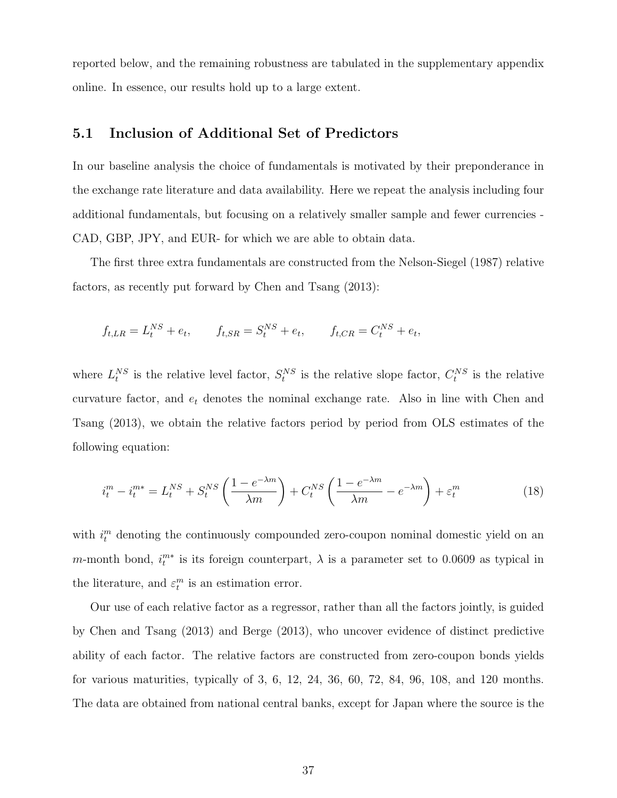reported below, and the remaining robustness are tabulated in the supplementary appendix online. In essence, our results hold up to a large extent.

#### 5.1 Inclusion of Additional Set of Predictors

In our baseline analysis the choice of fundamentals is motivated by their preponderance in the exchange rate literature and data availability. Here we repeat the analysis including four additional fundamentals, but focusing on a relatively smaller sample and fewer currencies - CAD, GBP, JPY, and EUR- for which we are able to obtain data.

The first three extra fundamentals are constructed from the Nelson-Siegel (1987) relative factors, as recently put forward by Chen and Tsang (2013):

$$
f_{t,LR} = L_t^{NS} + e_t
$$
,  $f_{t,SR} = S_t^{NS} + e_t$ ,  $f_{t,CR} = C_t^{NS} + e_t$ ,

where  $L_t^{NS}$  is the relative level factor,  $S_t^{NS}$  is the relative slope factor,  $C_t^{NS}$  is the relative curvature factor, and  $e_t$  denotes the nominal exchange rate. Also in line with Chen and Tsang (2013), we obtain the relative factors period by period from OLS estimates of the following equation:

$$
i_t^m - i_t^{m*} = L_t^{NS} + S_t^{NS} \left(\frac{1 - e^{-\lambda m}}{\lambda m}\right) + C_t^{NS} \left(\frac{1 - e^{-\lambda m}}{\lambda m} - e^{-\lambda m}\right) + \varepsilon_t^m \tag{18}
$$

with  $i_t^m$  denoting the continuously compounded zero-coupon nominal domestic yield on an m-month bond,  $i_t^{m*}$  is its foreign counterpart,  $\lambda$  is a parameter set to 0.0609 as typical in the literature, and  $\varepsilon_t^m$  is an estimation error.

Our use of each relative factor as a regressor, rather than all the factors jointly, is guided by Chen and Tsang (2013) and Berge (2013), who uncover evidence of distinct predictive ability of each factor. The relative factors are constructed from zero-coupon bonds yields for various maturities, typically of 3, 6, 12, 24, 36, 60, 72, 84, 96, 108, and 120 months. The data are obtained from national central banks, except for Japan where the source is the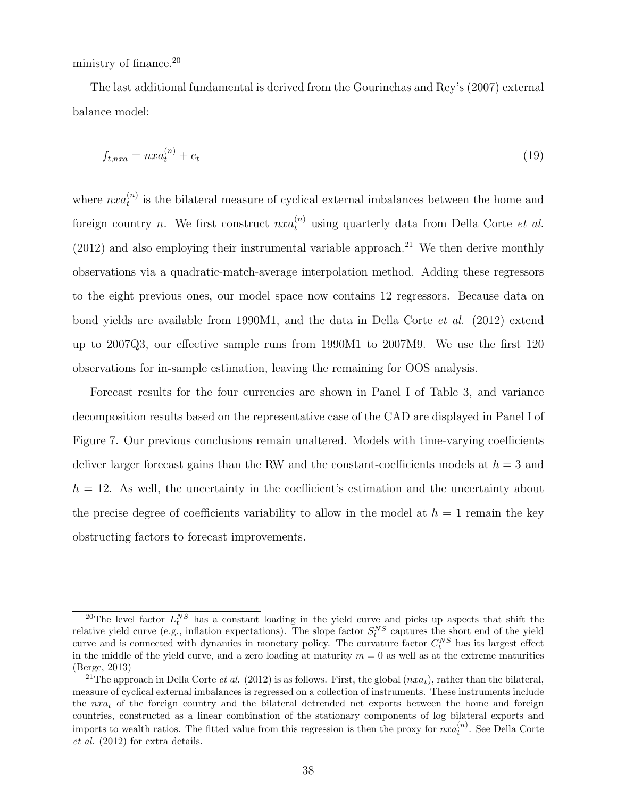ministry of finance.<sup>20</sup>

The last additional fundamental is derived from the Gourinchas and Rey's (2007) external balance model:

$$
f_{t,nxa} = nx a_t^{(n)} + e_t \tag{19}
$$

where  $nxa_t^{(n)}$  $t^{(n)}$  is the bilateral measure of cyclical external imbalances between the home and foreign country *n*. We first construct  $nxa_t^{(n)}$  using quarterly data from Della Corte *et al.*  $(2012)$  and also employing their instrumental variable approach.<sup>21</sup> We then derive monthly observations via a quadratic-match-average interpolation method. Adding these regressors to the eight previous ones, our model space now contains 12 regressors. Because data on bond yields are available from 1990M1, and the data in Della Corte et al. (2012) extend up to 2007Q3, our effective sample runs from 1990M1 to 2007M9. We use the first 120 observations for in-sample estimation, leaving the remaining for OOS analysis.

Forecast results for the four currencies are shown in Panel I of Table 3, and variance decomposition results based on the representative case of the CAD are displayed in Panel I of Figure 7. Our previous conclusions remain unaltered. Models with time-varying coefficients deliver larger forecast gains than the RW and the constant-coefficients models at  $h = 3$  and  $h = 12$ . As well, the uncertainty in the coefficient's estimation and the uncertainty about the precise degree of coefficients variability to allow in the model at  $h = 1$  remain the key obstructing factors to forecast improvements.

<sup>&</sup>lt;sup>20</sup>The level factor  $L_t^{NS}$  has a constant loading in the yield curve and picks up aspects that shift the relative yield curve (e.g., inflation expectations). The slope factor  $S_t^{NS}$  captures the short end of the yield curve and is connected with dynamics in monetary policy. The curvature factor  $C_t^{NS}$  has its largest effect in the middle of the yield curve, and a zero loading at maturity  $m = 0$  as well as at the extreme maturities (Berge, 2013)

<sup>&</sup>lt;sup>21</sup>The approach in Della Corte *et al.* (2012) is as follows. First, the global  $(nxa_t)$ , rather than the bilateral, measure of cyclical external imbalances is regressed on a collection of instruments. These instruments include the  $nxa_t$  of the foreign country and the bilateral detrended net exports between the home and foreign countries, constructed as a linear combination of the stationary components of log bilateral exports and imports to wealth ratios. The fitted value from this regression is then the proxy for  $nxa_t^{(n)}$ . See Della Corte et al. (2012) for extra details.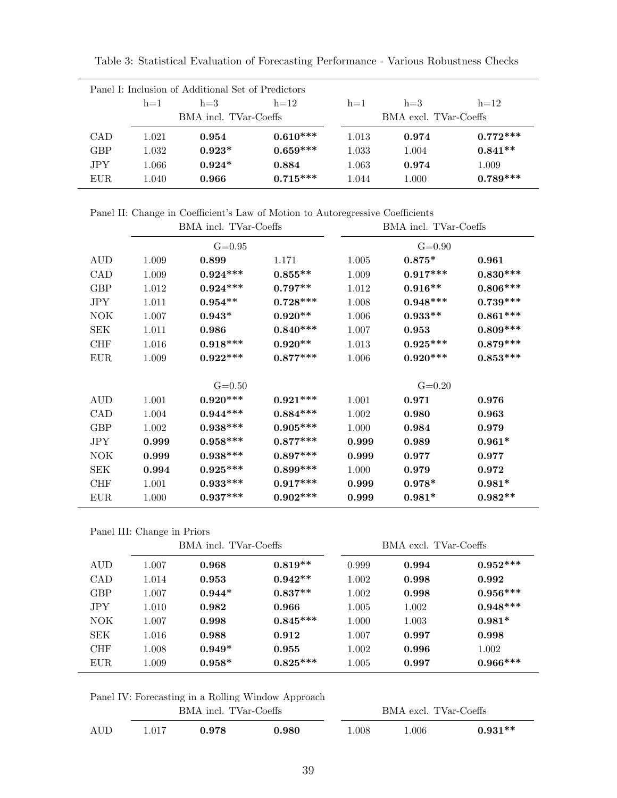|            | Panel I: Inclusion of Additional Set of Predictors |                       |                       |       |       |            |  |  |  |  |  |
|------------|----------------------------------------------------|-----------------------|-----------------------|-------|-------|------------|--|--|--|--|--|
|            | $h=1$                                              | $h=3$                 | $h=12$                | $h=1$ | $h=3$ | $h=12$     |  |  |  |  |  |
|            |                                                    | BMA incl. TVar-Coeffs | BMA excl. TVar-Coeffs |       |       |            |  |  |  |  |  |
| <b>CAD</b> | 1.021                                              | 0.954                 | $0.610***$            | 1.013 | 0.974 | $0.772***$ |  |  |  |  |  |
| <b>GBP</b> | 1.032                                              | $0.923*$              | $0.659***$            | 1.033 | 1.004 | $0.841**$  |  |  |  |  |  |
| <b>JPY</b> | 1.066                                              | $0.924*$              | 0.884                 | 1.063 | 0.974 | 1.009      |  |  |  |  |  |
| <b>EUR</b> | 1.040                                              | 0.966                 | $0.715***$            | 1.044 | 1.000 | $0.789***$ |  |  |  |  |  |

Table 3: Statistical Evaluation of Forecasting Performance - Various Robustness Checks

Panel II: Change in Coefficient's Law of Motion to Autoregressive Coefficients

|            |       | BMA incl. TVar-Coeffs |            | BMA incl. TVar-Coeffs |            |            |  |
|------------|-------|-----------------------|------------|-----------------------|------------|------------|--|
|            |       | $G = 0.95$            |            |                       | $G=0.90$   |            |  |
| AUD        | 1.009 | 0.899                 | 1.171      | 1.005                 | $0.875*$   | 0.961      |  |
| <b>CAD</b> | 1.009 | $0.924***$            | $0.855**$  | 1.009                 | $0.917***$ | $0.830***$ |  |
| <b>GBP</b> | 1.012 | $0.924***$            | $0.797**$  | 1.012                 | $0.916**$  | $0.806***$ |  |
| <b>JPY</b> | 1.011 | $0.954**$             | $0.728***$ | 1.008                 | $0.948***$ | $0.739***$ |  |
| <b>NOK</b> | 1.007 | $0.943*$              | $0.920**$  | 1.006                 | $0.933**$  | $0.861***$ |  |
| SEK        | 1.011 | 0.986                 | $0.840***$ | 1.007                 | 0.953      | $0.809***$ |  |
| <b>CHF</b> | 1.016 | $0.918***$            | $0.920**$  | 1.013                 | $0.925***$ | $0.879***$ |  |
| <b>EUR</b> | 1.009 | $0.922***$            | $0.877***$ | 1.006                 | $0.920***$ | $0.853***$ |  |
|            |       |                       |            |                       |            |            |  |
|            |       | $G=0.50$              |            |                       | $G=0.20$   |            |  |
| <b>AUD</b> | 1.001 | $0.920***$            | $0.921***$ | 1.001                 | 0.971      | 0.976      |  |
| CAD        | 1.004 | $0.944***$            | $0.884***$ | 1.002                 | 0.980      | 0.963      |  |
| <b>GBP</b> | 1.002 | $0.938***$            | $0.905***$ | 1.000                 | 0.984      | 0.979      |  |
| <b>JPY</b> | 0.999 | $0.958***$            | $0.877***$ | 0.999                 | 0.989      | $0.961*$   |  |
| <b>NOK</b> | 0.999 | $0.938***$            | $0.897***$ | 0.999                 | 0.977      | 0.977      |  |
| SEK        | 0.994 | $0.925***$            | $0.899***$ | 1.000                 | 0.979      | 0.972      |  |
| <b>CHF</b> | 1.001 | $0.933***$            | $0.917***$ | 0.999                 | $0.978*$   | $0.981*$   |  |
| <b>EUR</b> | 1.000 | $0.937***$            | $0.902***$ | 0.999                 | $0.981*$   | $0.982**$  |  |

|            | Panel III: Change in Priors |                       |                       |       |       |            |
|------------|-----------------------------|-----------------------|-----------------------|-------|-------|------------|
|            |                             | BMA incl. TVar-Coeffs | BMA excl. TVar-Coeffs |       |       |            |
| AUD        | 1.007                       | 0.968                 | $0.819**$             | 0.999 | 0.994 | $0.952***$ |
| <b>CAD</b> | 1.014                       | 0.953                 | $0.942**$             | 1.002 | 0.998 | 0.992      |
| <b>GBP</b> | 1.007                       | $0.944*$              | $0.837**$             | 1.002 | 0.998 | $0.956***$ |
| <b>JPY</b> | 1.010                       | 0.982                 | 0.966                 | 1.005 | 1.002 | $0.948***$ |
| <b>NOK</b> | 1.007                       | 0.998                 | $0.845***$            | 1.000 | 1.003 | $0.981*$   |
| <b>SEK</b> | 1.016                       | 0.988                 | 0.912                 | 1.007 | 0.997 | 0.998      |
| <b>CHF</b> | 1.008                       | $0.949*$              | 0.955                 | 1.002 | 0.996 | 1.002      |
| EUR.       | 1.009                       | $0.958*$              | $0.825***$            | 1.005 | 0.997 | $0.966***$ |

|  | Panel IV: Forecasting in a Rolling Window Approach |  |  |  |
|--|----------------------------------------------------|--|--|--|
|  |                                                    |  |  |  |

BMA incl. TVar-Coeffs BMA excl. TVar-Coeffs

| AUD | 1.017 | 0.978 | 0.980 | 0.008 | 000 | $0.931**$ |
|-----|-------|-------|-------|-------|-----|-----------|
|-----|-------|-------|-------|-------|-----|-----------|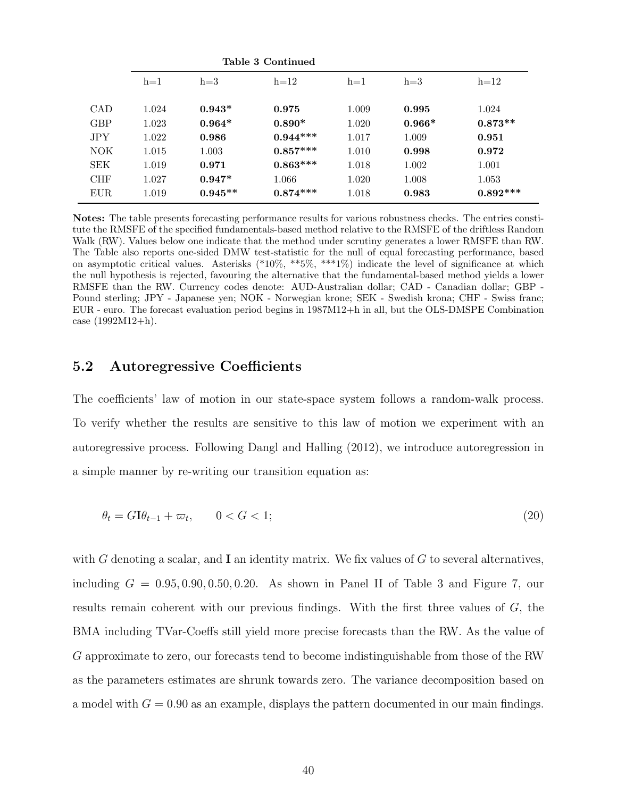|            | Table 3 Continued |           |            |       |          |            |
|------------|-------------------|-----------|------------|-------|----------|------------|
|            | $h=1$             | $h=3$     | $h=12$     | $h=1$ | $h=3$    | $h=12$     |
| <b>CAD</b> | 1.024             | $0.943*$  | 0.975      | 1.009 | 0.995    | 1.024      |
| <b>GBP</b> | 1.023             | $0.964*$  | $0.890*$   | 1.020 | $0.966*$ | $0.873**$  |
| <b>JPY</b> | 1.022             | 0.986     | $0.944***$ | 1.017 | 1.009    | 0.951      |
| NOK        | 1.015             | 1.003     | $0.857***$ | 1.010 | 0.998    | 0.972      |
| <b>SEK</b> | 1.019             | 0.971     | $0.863***$ | 1.018 | 1.002    | 1.001      |
| <b>CHF</b> | 1.027             | $0.947*$  | 1.066      | 1.020 | 1.008    | 1.053      |
| <b>EUR</b> | 1.019             | $0.945**$ | $0.874***$ | 1.018 | 0.983    | $0.892***$ |

Notes: The table presents forecasting performance results for various robustness checks. The entries constitute the RMSFE of the specified fundamentals-based method relative to the RMSFE of the driftless Random Walk (RW). Values below one indicate that the method under scrutiny generates a lower RMSFE than RW. The Table also reports one-sided DMW test-statistic for the null of equal forecasting performance, based on asymptotic critical values. Asterisks (\*10%, \*\*5%, \*\*\*1%) indicate the level of significance at which the null hypothesis is rejected, favouring the alternative that the fundamental-based method yields a lower RMSFE than the RW. Currency codes denote: AUD-Australian dollar; CAD - Canadian dollar; GBP - Pound sterling; JPY - Japanese yen; NOK - Norwegian krone; SEK - Swedish krona; CHF - Swiss franc; EUR - euro. The forecast evaluation period begins in 1987M12+h in all, but the OLS-DMSPE Combination case  $(1992M12+h)$ .

## 5.2 Autoregressive Coefficients

The coefficients' law of motion in our state-space system follows a random-walk process. To verify whether the results are sensitive to this law of motion we experiment with an autoregressive process. Following Dangl and Halling (2012), we introduce autoregression in a simple manner by re-writing our transition equation as:

$$
\theta_t = G \mathbf{I} \theta_{t-1} + \varpi_t, \qquad 0 < G < 1; \tag{20}
$$

with G denoting a scalar, and  $\bf{I}$  an identity matrix. We fix values of G to several alternatives, including  $G = 0.95, 0.90, 0.50, 0.20$ . As shown in Panel II of Table 3 and Figure 7, our results remain coherent with our previous findings. With the first three values of G, the BMA including TVar-Coeffs still yield more precise forecasts than the RW. As the value of G approximate to zero, our forecasts tend to become indistinguishable from those of the RW as the parameters estimates are shrunk towards zero. The variance decomposition based on a model with  $G = 0.90$  as an example, displays the pattern documented in our main findings.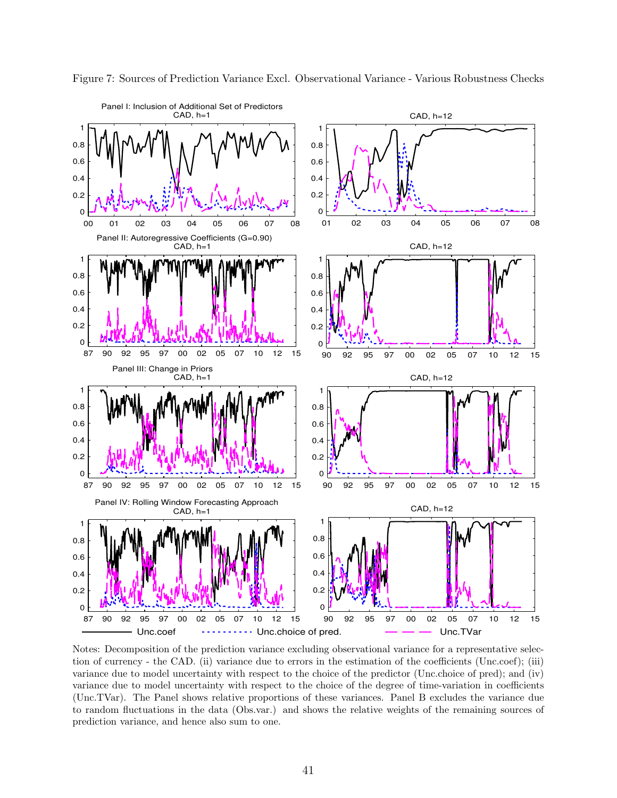

Figure 7: Sources of Prediction Variance Excl. Observational Variance - Various Robustness Checks

Notes: Decomposition of the prediction variance excluding observational variance for a representative selection of currency - the CAD. (ii) variance due to errors in the estimation of the coefficients (Unc.coef); (iii) variance due to model uncertainty with respect to the choice of the predictor (Unc.choice of pred); and (iv) variance due to model uncertainty with respect to the choice of the degree of time-variation in coefficients (Unc.TVar). The Panel shows relative proportions of these variances. Panel B excludes the variance due to random fluctuations in the data (Obs.var.) and shows the relative weights of the remaining sources of prediction variance, and hence also sum to one.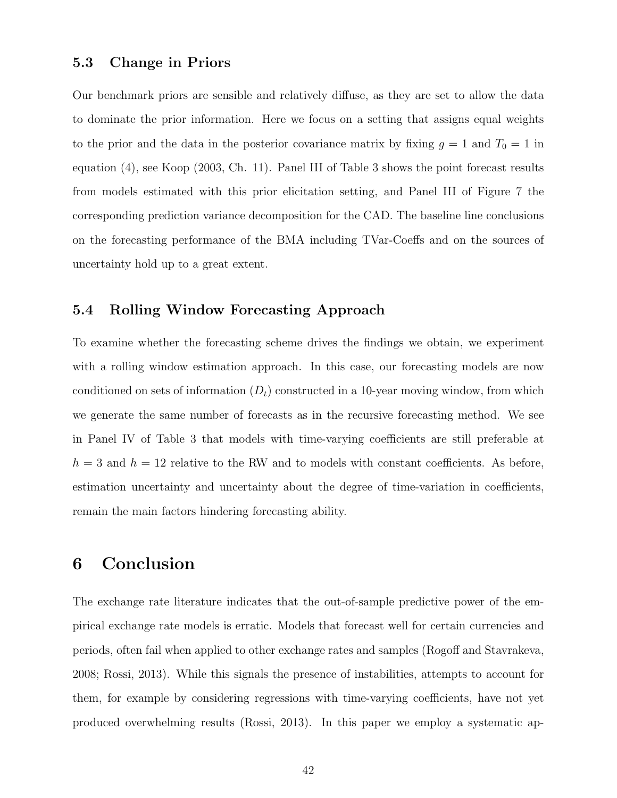## 5.3 Change in Priors

Our benchmark priors are sensible and relatively diffuse, as they are set to allow the data to dominate the prior information. Here we focus on a setting that assigns equal weights to the prior and the data in the posterior covariance matrix by fixing  $g = 1$  and  $T_0 = 1$  in equation (4), see Koop (2003, Ch. 11). Panel III of Table 3 shows the point forecast results from models estimated with this prior elicitation setting, and Panel III of Figure 7 the corresponding prediction variance decomposition for the CAD. The baseline line conclusions on the forecasting performance of the BMA including TVar-Coeffs and on the sources of uncertainty hold up to a great extent.

## 5.4 Rolling Window Forecasting Approach

To examine whether the forecasting scheme drives the findings we obtain, we experiment with a rolling window estimation approach. In this case, our forecasting models are now conditioned on sets of information  $(D_t)$  constructed in a 10-year moving window, from which we generate the same number of forecasts as in the recursive forecasting method. We see in Panel IV of Table 3 that models with time-varying coefficients are still preferable at  $h = 3$  and  $h = 12$  relative to the RW and to models with constant coefficients. As before, estimation uncertainty and uncertainty about the degree of time-variation in coefficients, remain the main factors hindering forecasting ability.

# 6 Conclusion

The exchange rate literature indicates that the out-of-sample predictive power of the empirical exchange rate models is erratic. Models that forecast well for certain currencies and periods, often fail when applied to other exchange rates and samples (Rogoff and Stavrakeva, 2008; Rossi, 2013). While this signals the presence of instabilities, attempts to account for them, for example by considering regressions with time-varying coefficients, have not yet produced overwhelming results (Rossi, 2013). In this paper we employ a systematic ap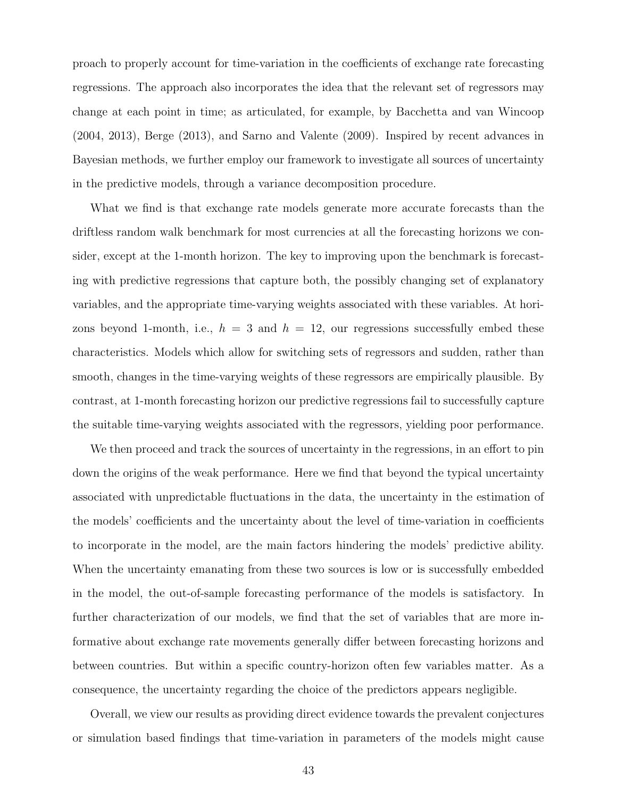proach to properly account for time-variation in the coefficients of exchange rate forecasting regressions. The approach also incorporates the idea that the relevant set of regressors may change at each point in time; as articulated, for example, by Bacchetta and van Wincoop (2004, 2013), Berge (2013), and Sarno and Valente (2009). Inspired by recent advances in Bayesian methods, we further employ our framework to investigate all sources of uncertainty in the predictive models, through a variance decomposition procedure.

What we find is that exchange rate models generate more accurate forecasts than the driftless random walk benchmark for most currencies at all the forecasting horizons we consider, except at the 1-month horizon. The key to improving upon the benchmark is forecasting with predictive regressions that capture both, the possibly changing set of explanatory variables, and the appropriate time-varying weights associated with these variables. At horizons beyond 1-month, i.e.,  $h = 3$  and  $h = 12$ , our regressions successfully embed these characteristics. Models which allow for switching sets of regressors and sudden, rather than smooth, changes in the time-varying weights of these regressors are empirically plausible. By contrast, at 1-month forecasting horizon our predictive regressions fail to successfully capture the suitable time-varying weights associated with the regressors, yielding poor performance.

We then proceed and track the sources of uncertainty in the regressions, in an effort to pin down the origins of the weak performance. Here we find that beyond the typical uncertainty associated with unpredictable fluctuations in the data, the uncertainty in the estimation of the models' coefficients and the uncertainty about the level of time-variation in coefficients to incorporate in the model, are the main factors hindering the models' predictive ability. When the uncertainty emanating from these two sources is low or is successfully embedded in the model, the out-of-sample forecasting performance of the models is satisfactory. In further characterization of our models, we find that the set of variables that are more informative about exchange rate movements generally differ between forecasting horizons and between countries. But within a specific country-horizon often few variables matter. As a consequence, the uncertainty regarding the choice of the predictors appears negligible.

Overall, we view our results as providing direct evidence towards the prevalent conjectures or simulation based findings that time-variation in parameters of the models might cause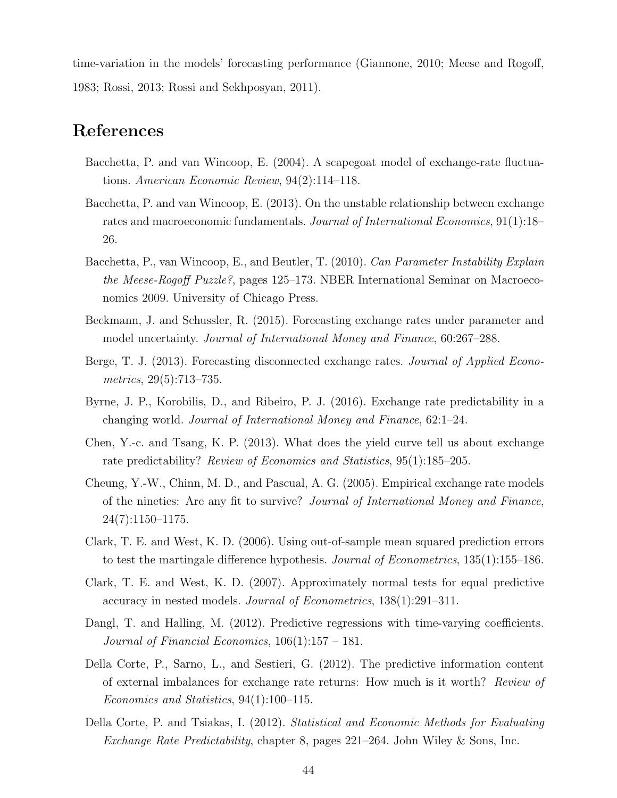time-variation in the models' forecasting performance (Giannone, 2010; Meese and Rogoff, 1983; Rossi, 2013; Rossi and Sekhposyan, 2011).

# References

- Bacchetta, P. and van Wincoop, E. (2004). A scapegoat model of exchange-rate fluctuations. American Economic Review, 94(2):114–118.
- Bacchetta, P. and van Wincoop, E. (2013). On the unstable relationship between exchange rates and macroeconomic fundamentals. Journal of International Economics, 91(1):18– 26.
- Bacchetta, P., van Wincoop, E., and Beutler, T. (2010). Can Parameter Instability Explain the Meese-Rogoff Puzzle?, pages 125–173. NBER International Seminar on Macroeconomics 2009. University of Chicago Press.
- Beckmann, J. and Schussler, R. (2015). Forecasting exchange rates under parameter and model uncertainty. Journal of International Money and Finance, 60:267–288.
- Berge, T. J. (2013). Forecasting disconnected exchange rates. *Journal of Applied Econo*metrics, 29(5):713–735.
- Byrne, J. P., Korobilis, D., and Ribeiro, P. J. (2016). Exchange rate predictability in a changing world. Journal of International Money and Finance, 62:1–24.
- Chen, Y.-c. and Tsang, K. P. (2013). What does the yield curve tell us about exchange rate predictability? Review of Economics and Statistics, 95(1):185–205.
- Cheung, Y.-W., Chinn, M. D., and Pascual, A. G. (2005). Empirical exchange rate models of the nineties: Are any fit to survive? Journal of International Money and Finance, 24(7):1150–1175.
- Clark, T. E. and West, K. D. (2006). Using out-of-sample mean squared prediction errors to test the martingale difference hypothesis. Journal of Econometrics, 135(1):155–186.
- Clark, T. E. and West, K. D. (2007). Approximately normal tests for equal predictive accuracy in nested models. Journal of Econometrics, 138(1):291–311.
- Dangl, T. and Halling, M. (2012). Predictive regressions with time-varying coefficients. Journal of Financial Economics, 106(1):157 – 181.
- Della Corte, P., Sarno, L., and Sestieri, G. (2012). The predictive information content of external imbalances for exchange rate returns: How much is it worth? Review of Economics and Statistics, 94(1):100–115.
- Della Corte, P. and Tsiakas, I. (2012). Statistical and Economic Methods for Evaluating Exchange Rate Predictability, chapter 8, pages 221–264. John Wiley & Sons, Inc.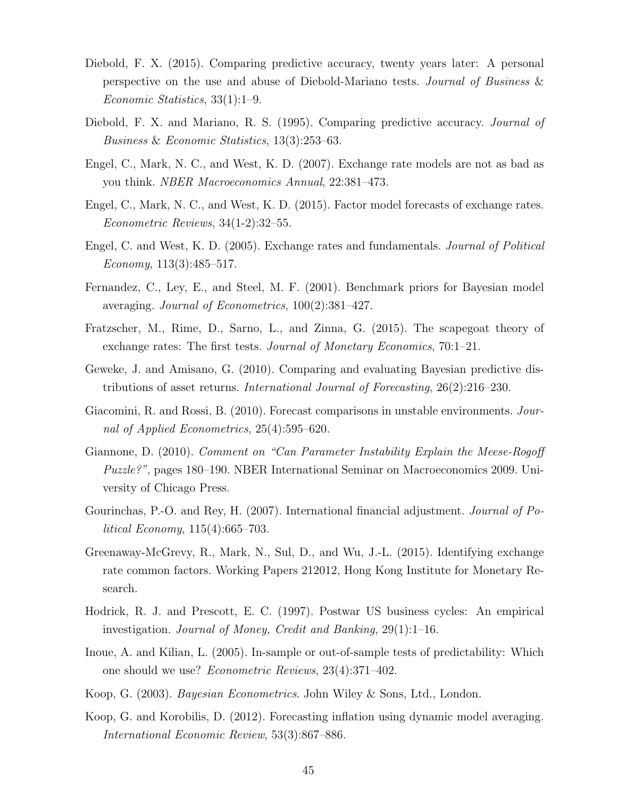- Diebold, F. X. (2015). Comparing predictive accuracy, twenty years later: A personal perspective on the use and abuse of Diebold-Mariano tests. Journal of Business & Economic Statistics, 33(1):1–9.
- Diebold, F. X. and Mariano, R. S. (1995). Comparing predictive accuracy. Journal of Business & Economic Statistics, 13(3):253–63.
- Engel, C., Mark, N. C., and West, K. D. (2007). Exchange rate models are not as bad as you think. NBER Macroeconomics Annual, 22:381–473.
- Engel, C., Mark, N. C., and West, K. D. (2015). Factor model forecasts of exchange rates. Econometric Reviews, 34(1-2):32–55.
- Engel, C. and West, K. D. (2005). Exchange rates and fundamentals. Journal of Political Economy, 113(3):485–517.
- Fernandez, C., Ley, E., and Steel, M. F. (2001). Benchmark priors for Bayesian model averaging. Journal of Econometrics, 100(2):381–427.
- Fratzscher, M., Rime, D., Sarno, L., and Zinna, G. (2015). The scapegoat theory of exchange rates: The first tests. Journal of Monetary Economics, 70:1–21.
- Geweke, J. and Amisano, G. (2010). Comparing and evaluating Bayesian predictive distributions of asset returns. International Journal of Forecasting, 26(2):216–230.
- Giacomini, R. and Rossi, B. (2010). Forecast comparisons in unstable environments. Journal of Applied Econometrics, 25(4):595–620.
- Giannone, D. (2010). Comment on "Can Parameter Instability Explain the Meese-Rogoff Puzzle?", pages 180–190. NBER International Seminar on Macroeconomics 2009. University of Chicago Press.
- Gourinchas, P.-O. and Rey, H. (2007). International financial adjustment. Journal of Political Economy, 115(4):665–703.
- Greenaway-McGrevy, R., Mark, N., Sul, D., and Wu, J.-L. (2015). Identifying exchange rate common factors. Working Papers 212012, Hong Kong Institute for Monetary Research.
- Hodrick, R. J. and Prescott, E. C. (1997). Postwar US business cycles: An empirical investigation. Journal of Money, Credit and Banking, 29(1):1–16.
- Inoue, A. and Kilian, L. (2005). In-sample or out-of-sample tests of predictability: Which one should we use? Econometric Reviews, 23(4):371–402.
- Koop, G. (2003). Bayesian Econometrics. John Wiley & Sons, Ltd., London.
- Koop, G. and Korobilis, D. (2012). Forecasting inflation using dynamic model averaging. International Economic Review, 53(3):867–886.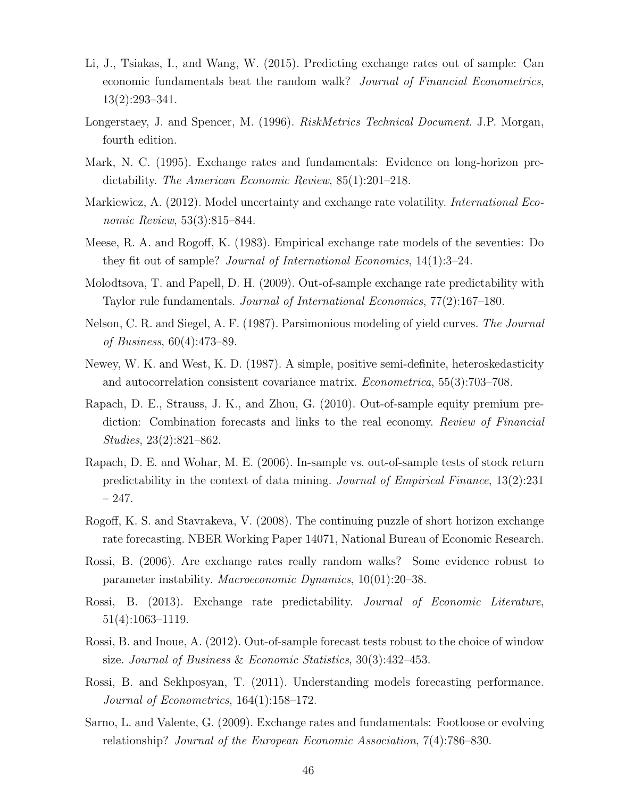- Li, J., Tsiakas, I., and Wang, W. (2015). Predicting exchange rates out of sample: Can economic fundamentals beat the random walk? Journal of Financial Econometrics, 13(2):293–341.
- Longerstaey, J. and Spencer, M. (1996). RiskMetrics Technical Document. J.P. Morgan, fourth edition.
- Mark, N. C. (1995). Exchange rates and fundamentals: Evidence on long-horizon predictability. The American Economic Review, 85(1):201–218.
- Markiewicz, A. (2012). Model uncertainty and exchange rate volatility. *International Eco*nomic Review, 53(3):815–844.
- Meese, R. A. and Rogoff, K. (1983). Empirical exchange rate models of the seventies: Do they fit out of sample? Journal of International Economics, 14(1):3–24.
- Molodtsova, T. and Papell, D. H. (2009). Out-of-sample exchange rate predictability with Taylor rule fundamentals. Journal of International Economics, 77(2):167–180.
- Nelson, C. R. and Siegel, A. F. (1987). Parsimonious modeling of yield curves. The Journal of Business, 60(4):473–89.
- Newey, W. K. and West, K. D. (1987). A simple, positive semi-definite, heteroskedasticity and autocorrelation consistent covariance matrix. Econometrica, 55(3):703–708.
- Rapach, D. E., Strauss, J. K., and Zhou, G. (2010). Out-of-sample equity premium prediction: Combination forecasts and links to the real economy. Review of Financial Studies, 23(2):821–862.
- Rapach, D. E. and Wohar, M. E. (2006). In-sample vs. out-of-sample tests of stock return predictability in the context of data mining. Journal of Empirical Finance, 13(2):231 – 247.
- Rogoff, K. S. and Stavrakeva, V. (2008). The continuing puzzle of short horizon exchange rate forecasting. NBER Working Paper 14071, National Bureau of Economic Research.
- Rossi, B. (2006). Are exchange rates really random walks? Some evidence robust to parameter instability. Macroeconomic Dynamics, 10(01):20–38.
- Rossi, B. (2013). Exchange rate predictability. Journal of Economic Literature, 51(4):1063–1119.
- Rossi, B. and Inoue, A. (2012). Out-of-sample forecast tests robust to the choice of window size. Journal of Business & Economic Statistics, 30(3):432–453.
- Rossi, B. and Sekhposyan, T. (2011). Understanding models forecasting performance. Journal of Econometrics, 164(1):158–172.
- Sarno, L. and Valente, G. (2009). Exchange rates and fundamentals: Footloose or evolving relationship? Journal of the European Economic Association, 7(4):786–830.